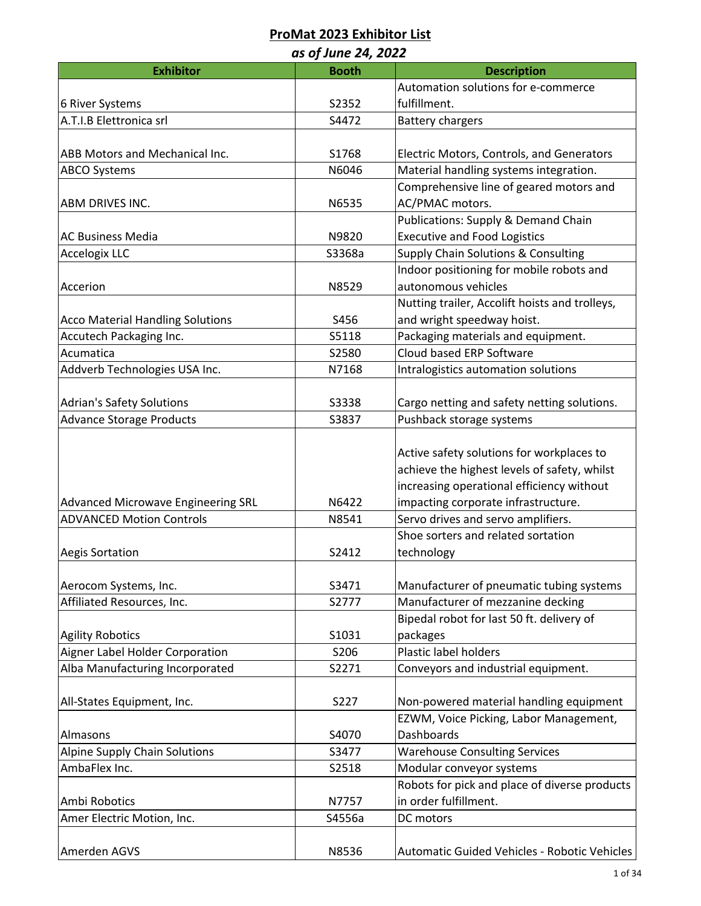| as of June 24, 2022                                        |                |                                                |  |
|------------------------------------------------------------|----------------|------------------------------------------------|--|
| <b>Exhibitor</b>                                           | <b>Booth</b>   | <b>Description</b>                             |  |
|                                                            |                | Automation solutions for e-commerce            |  |
| 6 River Systems                                            | S2352          | fulfillment.                                   |  |
| A.T.I.B Elettronica srl                                    | S4472          | <b>Battery chargers</b>                        |  |
|                                                            |                |                                                |  |
| ABB Motors and Mechanical Inc.                             | S1768          | Electric Motors, Controls, and Generators      |  |
| <b>ABCO Systems</b>                                        | N6046          | Material handling systems integration.         |  |
|                                                            |                | Comprehensive line of geared motors and        |  |
| ABM DRIVES INC.                                            | N6535          | AC/PMAC motors.                                |  |
|                                                            |                | <b>Publications: Supply &amp; Demand Chain</b> |  |
| <b>AC Business Media</b>                                   | N9820          | <b>Executive and Food Logistics</b>            |  |
| <b>Accelogix LLC</b>                                       | S3368a         | <b>Supply Chain Solutions &amp; Consulting</b> |  |
|                                                            |                | Indoor positioning for mobile robots and       |  |
| Accerion                                                   | N8529          | autonomous vehicles                            |  |
|                                                            |                | Nutting trailer, Accolift hoists and trolleys, |  |
| <b>Acco Material Handling Solutions</b>                    | S456           | and wright speedway hoist.                     |  |
| Accutech Packaging Inc.                                    | S5118          | Packaging materials and equipment.             |  |
| Acumatica                                                  | S2580          | Cloud based ERP Software                       |  |
| Addverb Technologies USA Inc.                              | N7168          | Intralogistics automation solutions            |  |
|                                                            |                |                                                |  |
| <b>Adrian's Safety Solutions</b>                           | S3338          | Cargo netting and safety netting solutions.    |  |
| <b>Advance Storage Products</b>                            | S3837          | Pushback storage systems                       |  |
|                                                            |                |                                                |  |
|                                                            |                | Active safety solutions for workplaces to      |  |
|                                                            |                | achieve the highest levels of safety, whilst   |  |
|                                                            |                | increasing operational efficiency without      |  |
| Advanced Microwave Engineering SRL                         | N6422          | impacting corporate infrastructure.            |  |
| <b>ADVANCED Motion Controls</b>                            | N8541          | Servo drives and servo amplifiers.             |  |
|                                                            |                | Shoe sorters and related sortation             |  |
| <b>Aegis Sortation</b>                                     | S2412          | technology                                     |  |
|                                                            |                |                                                |  |
| Aerocom Systems, Inc.                                      | S3471<br>S2777 | Manufacturer of pneumatic tubing systems       |  |
| Affiliated Resources, Inc.                                 |                | Manufacturer of mezzanine decking              |  |
|                                                            |                | Bipedal robot for last 50 ft. delivery of      |  |
| <b>Agility Robotics</b><br>Aigner Label Holder Corporation | S1031<br>S206  | packages<br>Plastic label holders              |  |
|                                                            |                |                                                |  |
| Alba Manufacturing Incorporated                            | S2271          | Conveyors and industrial equipment.            |  |
|                                                            | S227           | Non-powered material handling equipment        |  |
| All-States Equipment, Inc.                                 |                | EZWM, Voice Picking, Labor Management,         |  |
| Almasons                                                   | S4070          | Dashboards                                     |  |
| <b>Alpine Supply Chain Solutions</b>                       | S3477          | <b>Warehouse Consulting Services</b>           |  |
| AmbaFlex Inc.                                              | S2518          | Modular conveyor systems                       |  |
|                                                            |                | Robots for pick and place of diverse products  |  |
| Ambi Robotics                                              | N7757          | in order fulfillment.                          |  |
| Amer Electric Motion, Inc.                                 | S4556a         | DC motors                                      |  |
|                                                            |                |                                                |  |
| Amerden AGVS                                               | N8536          | Automatic Guided Vehicles - Robotic Vehicles   |  |
|                                                            |                |                                                |  |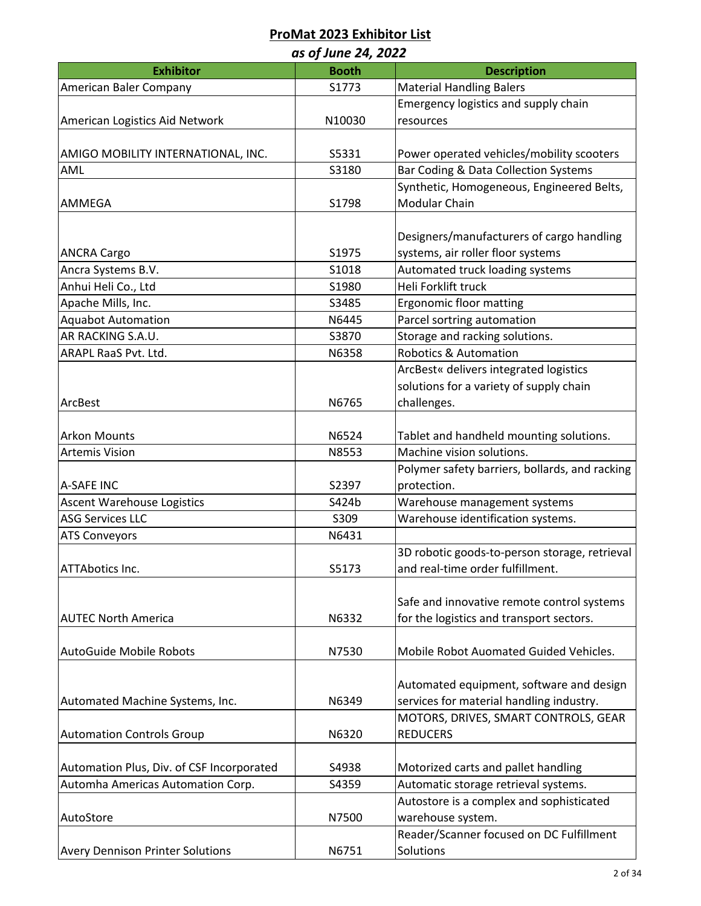| as of June 24, 2022                       |              |                                                |  |
|-------------------------------------------|--------------|------------------------------------------------|--|
| <b>Exhibitor</b>                          | <b>Booth</b> | <b>Description</b>                             |  |
| American Baler Company                    | S1773        | <b>Material Handling Balers</b>                |  |
|                                           |              | Emergency logistics and supply chain           |  |
| American Logistics Aid Network            | N10030       | resources                                      |  |
|                                           |              |                                                |  |
| AMIGO MOBILITY INTERNATIONAL, INC.        | S5331        | Power operated vehicles/mobility scooters      |  |
| AML                                       | S3180        | Bar Coding & Data Collection Systems           |  |
|                                           |              | Synthetic, Homogeneous, Engineered Belts,      |  |
| AMMEGA                                    | S1798        | Modular Chain                                  |  |
|                                           |              |                                                |  |
|                                           |              | Designers/manufacturers of cargo handling      |  |
| <b>ANCRA Cargo</b>                        | S1975        | systems, air roller floor systems              |  |
| Ancra Systems B.V.                        | S1018        | Automated truck loading systems                |  |
| Anhui Heli Co., Ltd                       | S1980        | Heli Forklift truck                            |  |
| Apache Mills, Inc.                        | S3485        | <b>Ergonomic floor matting</b>                 |  |
| <b>Aquabot Automation</b>                 | N6445        | Parcel sortring automation                     |  |
| AR RACKING S.A.U.                         | S3870        | Storage and racking solutions.                 |  |
| ARAPL RaaS Pvt. Ltd.                      | N6358        | <b>Robotics &amp; Automation</b>               |  |
|                                           |              | ArcBest« delivers integrated logistics         |  |
|                                           |              | solutions for a variety of supply chain        |  |
| ArcBest                                   | N6765        | challenges.                                    |  |
|                                           |              |                                                |  |
| <b>Arkon Mounts</b>                       | N6524        | Tablet and handheld mounting solutions.        |  |
| <b>Artemis Vision</b>                     | N8553        | Machine vision solutions.                      |  |
|                                           |              | Polymer safety barriers, bollards, and racking |  |
| <b>A-SAFE INC</b>                         | S2397        | protection.                                    |  |
| <b>Ascent Warehouse Logistics</b>         | S424b        | Warehouse management systems                   |  |
| <b>ASG Services LLC</b>                   | S309         | Warehouse identification systems.              |  |
| <b>ATS Conveyors</b>                      | N6431        |                                                |  |
|                                           |              | 3D robotic goods-to-person storage, retrieval  |  |
| ATTAbotics Inc.                           | S5173        | and real-time order fulfillment.               |  |
|                                           |              |                                                |  |
|                                           |              | Safe and innovative remote control systems     |  |
| <b>AUTEC North America</b>                | N6332        | for the logistics and transport sectors.       |  |
| <b>AutoGuide Mobile Robots</b>            | N7530        | Mobile Robot Auomated Guided Vehicles.         |  |
|                                           |              |                                                |  |
|                                           |              | Automated equipment, software and design       |  |
| Automated Machine Systems, Inc.           | N6349        | services for material handling industry.       |  |
|                                           |              | MOTORS, DRIVES, SMART CONTROLS, GEAR           |  |
| <b>Automation Controls Group</b>          | N6320        | <b>REDUCERS</b>                                |  |
|                                           |              |                                                |  |
| Automation Plus, Div. of CSF Incorporated | S4938        | Motorized carts and pallet handling            |  |
| Automha Americas Automation Corp.         | S4359        | Automatic storage retrieval systems.           |  |
|                                           |              | Autostore is a complex and sophisticated       |  |
| AutoStore                                 | N7500        | warehouse system.                              |  |
|                                           |              | Reader/Scanner focused on DC Fulfillment       |  |
| <b>Avery Dennison Printer Solutions</b>   | N6751        | Solutions                                      |  |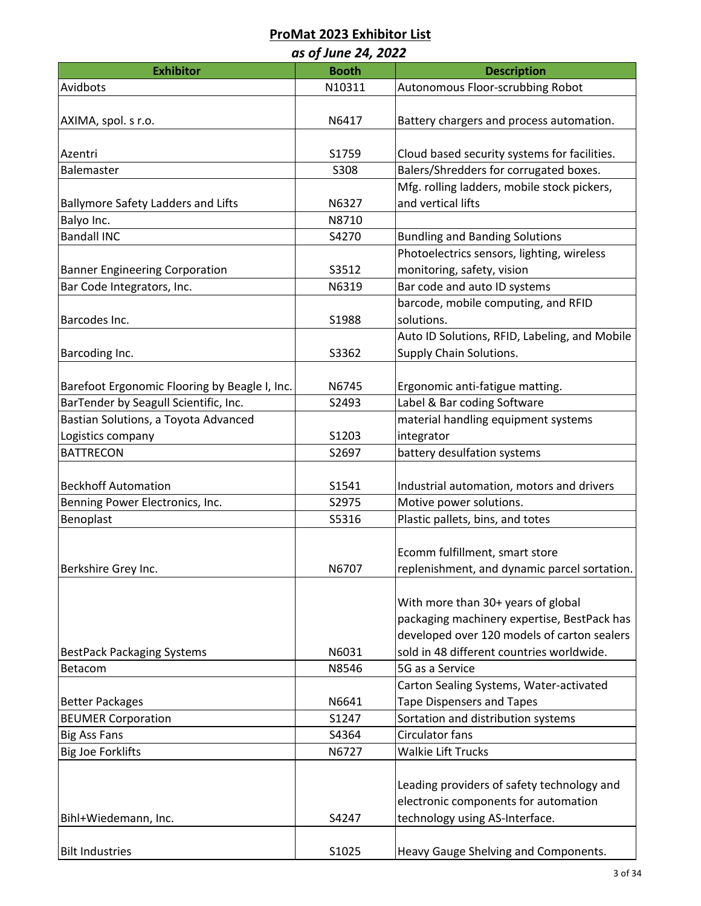|                                               | as of June 24, 2022 |                                               |
|-----------------------------------------------|---------------------|-----------------------------------------------|
| <b>Exhibitor</b>                              | <b>Booth</b>        | <b>Description</b>                            |
| Avidbots                                      | N10311              | Autonomous Floor-scrubbing Robot              |
|                                               |                     |                                               |
| AXIMA, spol. s r.o.                           | N6417               | Battery chargers and process automation.      |
|                                               |                     |                                               |
| Azentri                                       | S1759               | Cloud based security systems for facilities.  |
| Balemaster                                    | S308                | Balers/Shredders for corrugated boxes.        |
|                                               |                     | Mfg. rolling ladders, mobile stock pickers,   |
| <b>Ballymore Safety Ladders and Lifts</b>     | N6327               | and vertical lifts                            |
| Balyo Inc.                                    | N8710               |                                               |
| <b>Bandall INC</b>                            | S4270               | <b>Bundling and Banding Solutions</b>         |
|                                               |                     | Photoelectrics sensors, lighting, wireless    |
| <b>Banner Engineering Corporation</b>         | S3512               | monitoring, safety, vision                    |
| Bar Code Integrators, Inc.                    | N6319               | Bar code and auto ID systems                  |
|                                               |                     | barcode, mobile computing, and RFID           |
| Barcodes Inc.                                 | S1988               | solutions.                                    |
|                                               |                     | Auto ID Solutions, RFID, Labeling, and Mobile |
| Barcoding Inc.                                | S3362               | Supply Chain Solutions.                       |
|                                               |                     |                                               |
| Barefoot Ergonomic Flooring by Beagle I, Inc. | N6745               | Ergonomic anti-fatigue matting.               |
| BarTender by Seagull Scientific, Inc.         | S2493               | Label & Bar coding Software                   |
| Bastian Solutions, a Toyota Advanced          |                     | material handling equipment systems           |
| Logistics company                             | S1203               | integrator                                    |
| <b>BATTRECON</b>                              | S2697               | battery desulfation systems                   |
|                                               |                     |                                               |
| <b>Beckhoff Automation</b>                    | S1541               | Industrial automation, motors and drivers     |
| Benning Power Electronics, Inc.               | S2975               | Motive power solutions.                       |
| Benoplast                                     | S5316               | Plastic pallets, bins, and totes              |
|                                               |                     |                                               |
|                                               |                     | Ecomm fulfillment, smart store                |
| Berkshire Grey Inc.                           | N6707               | replenishment, and dynamic parcel sortation.  |
|                                               |                     |                                               |
|                                               |                     | With more than 30+ years of global            |
|                                               |                     | packaging machinery expertise, BestPack has   |
|                                               |                     | developed over 120 models of carton sealers   |
| <b>BestPack Packaging Systems</b>             | N6031               | sold in 48 different countries worldwide.     |
| <b>Betacom</b>                                | N8546               | 5G as a Service                               |
|                                               |                     | Carton Sealing Systems, Water-activated       |
| <b>Better Packages</b>                        | N6641               | <b>Tape Dispensers and Tapes</b>              |
| <b>BEUMER Corporation</b>                     | S1247               | Sortation and distribution systems            |
| <b>Big Ass Fans</b>                           | S4364               | Circulator fans                               |
| <b>Big Joe Forklifts</b>                      | N6727               | <b>Walkie Lift Trucks</b>                     |
|                                               |                     |                                               |
|                                               |                     | Leading providers of safety technology and    |
|                                               |                     | electronic components for automation          |
| Bihl+Wiedemann, Inc.                          | S4247               | technology using AS-Interface.                |
|                                               |                     |                                               |
| <b>Bilt Industries</b>                        | S1025               | Heavy Gauge Shelving and Components.          |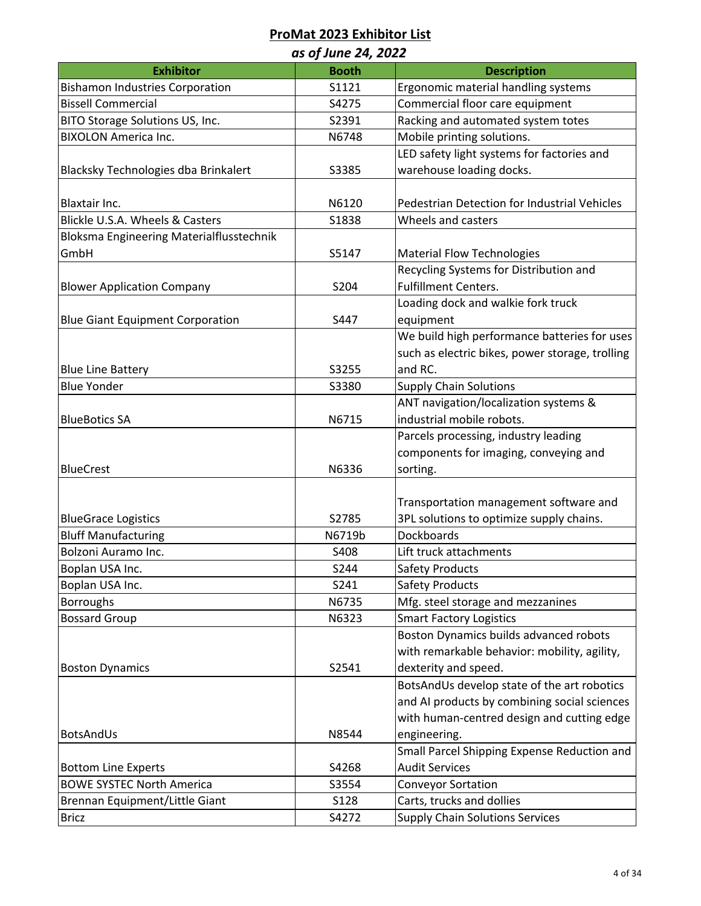| as of June 24, 2022                      |              |                                                 |  |
|------------------------------------------|--------------|-------------------------------------------------|--|
| <b>Exhibitor</b>                         | <b>Booth</b> | <b>Description</b>                              |  |
| <b>Bishamon Industries Corporation</b>   | S1121        | Ergonomic material handling systems             |  |
| <b>Bissell Commercial</b>                | S4275        | Commercial floor care equipment                 |  |
| BITO Storage Solutions US, Inc.          | S2391        | Racking and automated system totes              |  |
| <b>BIXOLON America Inc.</b>              | N6748        | Mobile printing solutions.                      |  |
|                                          |              | LED safety light systems for factories and      |  |
| Blacksky Technologies dba Brinkalert     | S3385        | warehouse loading docks.                        |  |
| Blaxtair Inc.                            | N6120        | Pedestrian Detection for Industrial Vehicles    |  |
| Blickle U.S.A. Wheels & Casters          | S1838        | Wheels and casters                              |  |
| Bloksma Engineering Materialflusstechnik |              |                                                 |  |
| GmbH                                     | S5147        | <b>Material Flow Technologies</b>               |  |
|                                          |              | Recycling Systems for Distribution and          |  |
| <b>Blower Application Company</b>        | S204         | <b>Fulfillment Centers.</b>                     |  |
|                                          |              | Loading dock and walkie fork truck              |  |
| <b>Blue Giant Equipment Corporation</b>  | S447         | equipment                                       |  |
|                                          |              | We build high performance batteries for uses    |  |
|                                          |              | such as electric bikes, power storage, trolling |  |
| <b>Blue Line Battery</b>                 | S3255        | and RC.                                         |  |
| <b>Blue Yonder</b>                       | S3380        | <b>Supply Chain Solutions</b>                   |  |
|                                          |              | ANT navigation/localization systems &           |  |
| <b>BlueBotics SA</b>                     | N6715        | industrial mobile robots.                       |  |
|                                          |              | Parcels processing, industry leading            |  |
|                                          |              | components for imaging, conveying and           |  |
| <b>BlueCrest</b>                         | N6336        | sorting.                                        |  |
|                                          |              |                                                 |  |
|                                          |              | Transportation management software and          |  |
| <b>BlueGrace Logistics</b>               | S2785        | 3PL solutions to optimize supply chains.        |  |
| <b>Bluff Manufacturing</b>               | N6719b       | <b>Dockboards</b>                               |  |
| Bolzoni Auramo Inc.                      | S408         | Lift truck attachments                          |  |
| Boplan USA Inc.                          | S244         | <b>Safety Products</b>                          |  |
| Boplan USA Inc.                          | S241         | <b>Safety Products</b>                          |  |
| <b>Borroughs</b>                         | N6735        | Mfg. steel storage and mezzanines               |  |
| <b>Bossard Group</b>                     | N6323        | <b>Smart Factory Logistics</b>                  |  |
|                                          |              | Boston Dynamics builds advanced robots          |  |
|                                          |              | with remarkable behavior: mobility, agility,    |  |
| <b>Boston Dynamics</b>                   | S2541        | dexterity and speed.                            |  |
|                                          |              | BotsAndUs develop state of the art robotics     |  |
|                                          |              | and AI products by combining social sciences    |  |
|                                          |              | with human-centred design and cutting edge      |  |
| <b>BotsAndUs</b>                         | N8544        | engineering.                                    |  |
|                                          |              | Small Parcel Shipping Expense Reduction and     |  |
| <b>Bottom Line Experts</b>               | S4268        | <b>Audit Services</b>                           |  |
| <b>BOWE SYSTEC North America</b>         | S3554        | <b>Conveyor Sortation</b>                       |  |
| Brennan Equipment/Little Giant           | <b>S128</b>  | Carts, trucks and dollies                       |  |
| <b>Bricz</b>                             | S4272        | <b>Supply Chain Solutions Services</b>          |  |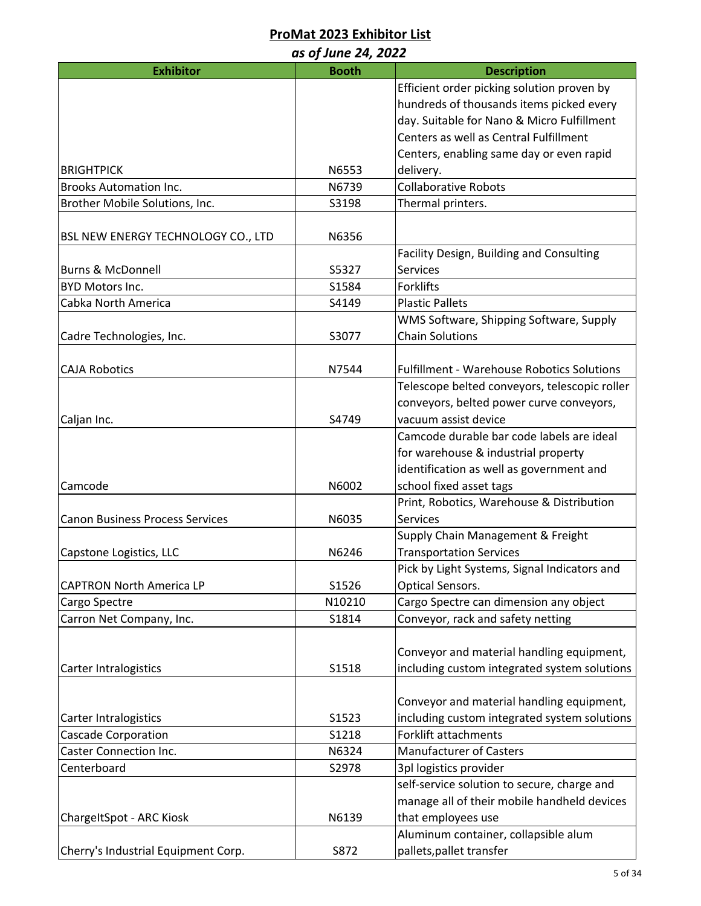| as of June 24, 2022                    |              |                                                   |  |
|----------------------------------------|--------------|---------------------------------------------------|--|
| <b>Exhibitor</b>                       | <b>Booth</b> | <b>Description</b>                                |  |
|                                        |              | Efficient order picking solution proven by        |  |
|                                        |              | hundreds of thousands items picked every          |  |
|                                        |              | day. Suitable for Nano & Micro Fulfillment        |  |
|                                        |              | Centers as well as Central Fulfillment            |  |
|                                        |              | Centers, enabling same day or even rapid          |  |
| <b>BRIGHTPICK</b>                      | N6553        | delivery.                                         |  |
| <b>Brooks Automation Inc.</b>          | N6739        | <b>Collaborative Robots</b>                       |  |
| Brother Mobile Solutions, Inc.         | S3198        | Thermal printers.                                 |  |
|                                        |              |                                                   |  |
| BSL NEW ENERGY TECHNOLOGY CO., LTD     | N6356        |                                                   |  |
|                                        |              | Facility Design, Building and Consulting          |  |
| <b>Burns &amp; McDonnell</b>           | S5327        | <b>Services</b>                                   |  |
| BYD Motors Inc.                        | S1584        | <b>Forklifts</b>                                  |  |
| Cabka North America                    | S4149        | <b>Plastic Pallets</b>                            |  |
|                                        |              | WMS Software, Shipping Software, Supply           |  |
| Cadre Technologies, Inc.               | S3077        | <b>Chain Solutions</b>                            |  |
|                                        |              |                                                   |  |
| <b>CAJA Robotics</b>                   | N7544        | <b>Fulfillment - Warehouse Robotics Solutions</b> |  |
|                                        |              | Telescope belted conveyors, telescopic roller     |  |
|                                        |              | conveyors, belted power curve conveyors,          |  |
| Caljan Inc.                            | S4749        | vacuum assist device                              |  |
|                                        |              | Camcode durable bar code labels are ideal         |  |
|                                        |              | for warehouse & industrial property               |  |
|                                        |              | identification as well as government and          |  |
| Camcode                                | N6002        | school fixed asset tags                           |  |
|                                        |              | Print, Robotics, Warehouse & Distribution         |  |
| <b>Canon Business Process Services</b> | N6035        | <b>Services</b>                                   |  |
|                                        |              | Supply Chain Management & Freight                 |  |
| Capstone Logistics, LLC                | N6246        | <b>Transportation Services</b>                    |  |
|                                        |              | Pick by Light Systems, Signal Indicators and      |  |
| <b>CAPTRON North America LP</b>        | S1526        | <b>Optical Sensors.</b>                           |  |
| Cargo Spectre                          | N10210       | Cargo Spectre can dimension any object            |  |
| Carron Net Company, Inc.               | S1814        | Conveyor, rack and safety netting                 |  |
|                                        |              |                                                   |  |
|                                        |              | Conveyor and material handling equipment,         |  |
| Carter Intralogistics                  | S1518        | including custom integrated system solutions      |  |
|                                        |              |                                                   |  |
|                                        |              | Conveyor and material handling equipment,         |  |
| Carter Intralogistics                  | S1523        | including custom integrated system solutions      |  |
| Cascade Corporation                    | S1218        | Forklift attachments                              |  |
| <b>Caster Connection Inc.</b>          | N6324        | <b>Manufacturer of Casters</b>                    |  |
| Centerboard                            | S2978        | 3pl logistics provider                            |  |
|                                        |              | self-service solution to secure, charge and       |  |
|                                        |              | manage all of their mobile handheld devices       |  |
| ChargeItSpot - ARC Kiosk               | N6139        | that employees use                                |  |
|                                        |              | Aluminum container, collapsible alum              |  |
| Cherry's Industrial Equipment Corp.    | S872         | pallets, pallet transfer                          |  |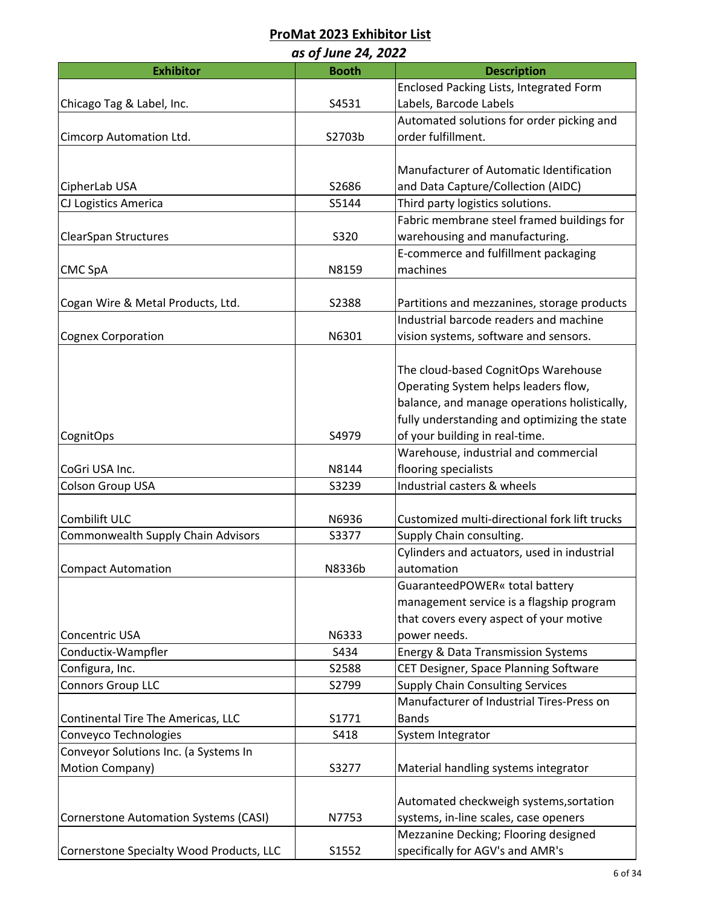| as of June 24, 2022                      |              |                                               |  |
|------------------------------------------|--------------|-----------------------------------------------|--|
| <b>Exhibitor</b>                         | <b>Booth</b> | <b>Description</b>                            |  |
|                                          |              | Enclosed Packing Lists, Integrated Form       |  |
| Chicago Tag & Label, Inc.                | S4531        | Labels, Barcode Labels                        |  |
|                                          |              | Automated solutions for order picking and     |  |
| Cimcorp Automation Ltd.                  | S2703b       | order fulfillment.                            |  |
|                                          |              |                                               |  |
|                                          |              | Manufacturer of Automatic Identification      |  |
| CipherLab USA                            | S2686        | and Data Capture/Collection (AIDC)            |  |
| CJ Logistics America                     | S5144        | Third party logistics solutions.              |  |
|                                          |              | Fabric membrane steel framed buildings for    |  |
| <b>ClearSpan Structures</b>              | S320         | warehousing and manufacturing.                |  |
|                                          |              | E-commerce and fulfillment packaging          |  |
| <b>CMC SpA</b>                           | N8159        | machines                                      |  |
|                                          |              |                                               |  |
| Cogan Wire & Metal Products, Ltd.        | S2388        | Partitions and mezzanines, storage products   |  |
|                                          |              | Industrial barcode readers and machine        |  |
| <b>Cognex Corporation</b>                | N6301        | vision systems, software and sensors.         |  |
|                                          |              |                                               |  |
|                                          |              | The cloud-based CognitOps Warehouse           |  |
|                                          |              | Operating System helps leaders flow,          |  |
|                                          |              | balance, and manage operations holistically,  |  |
|                                          |              | fully understanding and optimizing the state  |  |
|                                          | S4979        |                                               |  |
| CognitOps                                |              | of your building in real-time.                |  |
|                                          |              | Warehouse, industrial and commercial          |  |
| CoGri USA Inc.                           | N8144        | flooring specialists                          |  |
| Colson Group USA                         | S3239        | Industrial casters & wheels                   |  |
|                                          |              |                                               |  |
| Combilift ULC                            | N6936        | Customized multi-directional fork lift trucks |  |
| Commonwealth Supply Chain Advisors       | S3377        | Supply Chain consulting.                      |  |
|                                          |              | Cylinders and actuators, used in industrial   |  |
| <b>Compact Automation</b>                | N8336b       | automation                                    |  |
|                                          |              | GuaranteedPOWER« total battery                |  |
|                                          |              | management service is a flagship program      |  |
|                                          |              | that covers every aspect of your motive       |  |
| Concentric USA                           | N6333        | power needs.                                  |  |
| Conductix-Wampfler                       | S434         | <b>Energy &amp; Data Transmission Systems</b> |  |
| Configura, Inc.                          | S2588        | CET Designer, Space Planning Software         |  |
| <b>Connors Group LLC</b>                 | S2799        | <b>Supply Chain Consulting Services</b>       |  |
|                                          |              | Manufacturer of Industrial Tires-Press on     |  |
| Continental Tire The Americas, LLC       | S1771        | <b>Bands</b>                                  |  |
| Conveyco Technologies                    | S418         | System Integrator                             |  |
| Conveyor Solutions Inc. (a Systems In    |              |                                               |  |
| Motion Company)                          | S3277        | Material handling systems integrator          |  |
|                                          |              |                                               |  |
|                                          |              | Automated checkweigh systems, sortation       |  |
| Cornerstone Automation Systems (CASI)    | N7753        | systems, in-line scales, case openers         |  |
|                                          |              | Mezzanine Decking; Flooring designed          |  |
| Cornerstone Specialty Wood Products, LLC | S1552        | specifically for AGV's and AMR's              |  |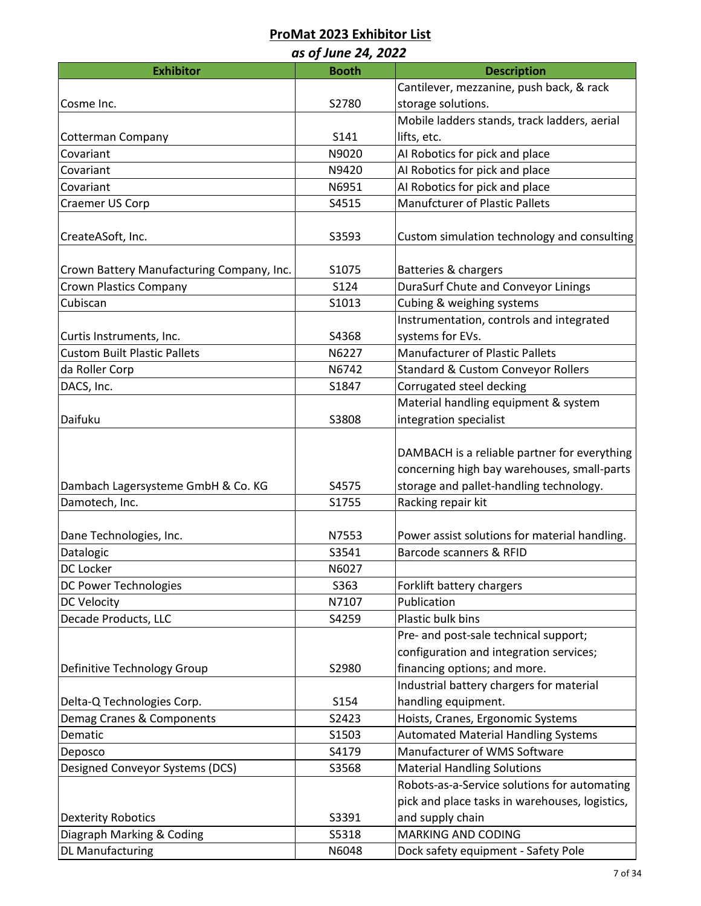| as of June 24, 2022                       |                   |                                                |  |
|-------------------------------------------|-------------------|------------------------------------------------|--|
| <b>Exhibitor</b>                          | <b>Booth</b>      | <b>Description</b>                             |  |
|                                           |                   | Cantilever, mezzanine, push back, & rack       |  |
| Cosme Inc.                                | S2780             | storage solutions.                             |  |
|                                           |                   | Mobile ladders stands, track ladders, aerial   |  |
| <b>Cotterman Company</b>                  | S141              | lifts, etc.                                    |  |
| Covariant                                 | N9020             | Al Robotics for pick and place                 |  |
| Covariant                                 | N9420             | Al Robotics for pick and place                 |  |
| Covariant                                 | N6951             | AI Robotics for pick and place                 |  |
| Craemer US Corp                           | S4515             | <b>Manufcturer of Plastic Pallets</b>          |  |
|                                           |                   |                                                |  |
| CreateASoft, Inc.                         | S3593             | Custom simulation technology and consulting    |  |
|                                           |                   |                                                |  |
| Crown Battery Manufacturing Company, Inc. | S <sub>1075</sub> | Batteries & chargers                           |  |
| <b>Crown Plastics Company</b>             | S124              | DuraSurf Chute and Conveyor Linings            |  |
| Cubiscan                                  | S1013             | Cubing & weighing systems                      |  |
|                                           |                   | Instrumentation, controls and integrated       |  |
| Curtis Instruments, Inc.                  | S4368             | systems for EVs.                               |  |
| <b>Custom Built Plastic Pallets</b>       | N6227             | <b>Manufacturer of Plastic Pallets</b>         |  |
| da Roller Corp                            | N6742             | <b>Standard &amp; Custom Conveyor Rollers</b>  |  |
| DACS, Inc.                                | S1847             | Corrugated steel decking                       |  |
|                                           |                   | Material handling equipment & system           |  |
| Daifuku                                   | S3808             | integration specialist                         |  |
|                                           |                   |                                                |  |
|                                           |                   | DAMBACH is a reliable partner for everything   |  |
|                                           |                   | concerning high bay warehouses, small-parts    |  |
| Dambach Lagersysteme GmbH & Co. KG        | S4575             | storage and pallet-handling technology.        |  |
| Damotech, Inc.                            | S1755             | Racking repair kit                             |  |
|                                           |                   |                                                |  |
| Dane Technologies, Inc.                   | N7553             | Power assist solutions for material handling.  |  |
| Datalogic                                 | S3541             | Barcode scanners & RFID                        |  |
| DC Locker                                 | N6027             |                                                |  |
| DC Power Technologies                     | S363              | Forklift battery chargers                      |  |
| DC Velocity                               | N7107             | Publication                                    |  |
| Decade Products, LLC                      | S4259             | Plastic bulk bins                              |  |
|                                           |                   | Pre- and post-sale technical support;          |  |
|                                           |                   | configuration and integration services;        |  |
| Definitive Technology Group               | S2980             | financing options; and more.                   |  |
|                                           |                   | Industrial battery chargers for material       |  |
| Delta-Q Technologies Corp.                | S154              | handling equipment.                            |  |
| Demag Cranes & Components                 | S2423             | Hoists, Cranes, Ergonomic Systems              |  |
| Dematic                                   | S1503             | <b>Automated Material Handling Systems</b>     |  |
| Deposco                                   | S4179             | Manufacturer of WMS Software                   |  |
| Designed Conveyor Systems (DCS)           | S3568             | <b>Material Handling Solutions</b>             |  |
|                                           |                   | Robots-as-a-Service solutions for automating   |  |
|                                           |                   | pick and place tasks in warehouses, logistics, |  |
| <b>Dexterity Robotics</b>                 | S3391             | and supply chain                               |  |
| Diagraph Marking & Coding                 | S5318             | <b>MARKING AND CODING</b>                      |  |
| <b>DL Manufacturing</b>                   | N6048             | Dock safety equipment - Safety Pole            |  |
|                                           |                   |                                                |  |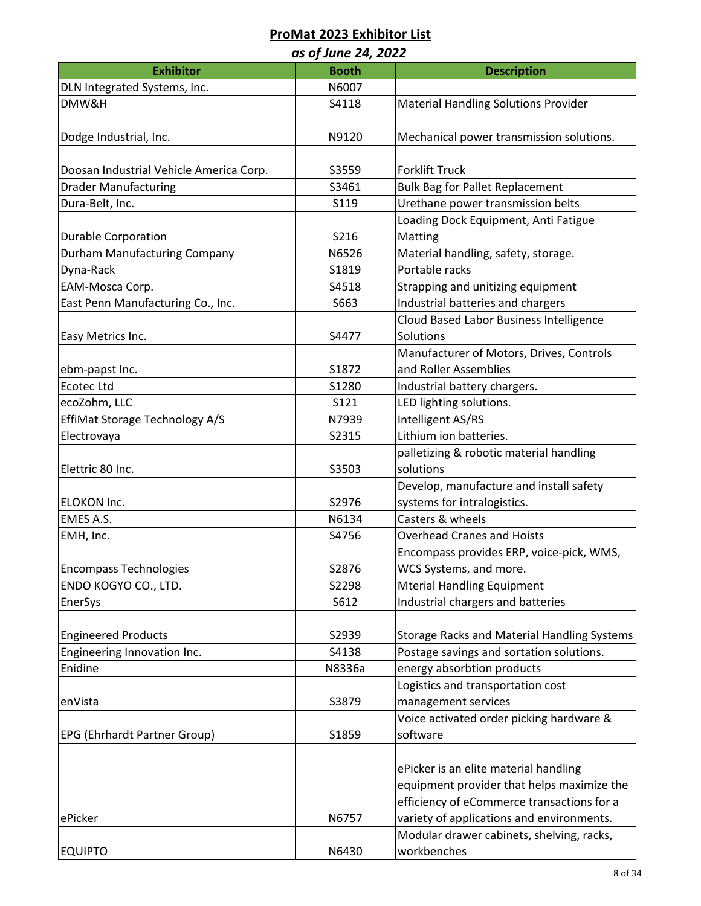| as of June 24, 2022                     |              |                                                    |  |
|-----------------------------------------|--------------|----------------------------------------------------|--|
| <b>Exhibitor</b>                        | <b>Booth</b> | <b>Description</b>                                 |  |
| DLN Integrated Systems, Inc.            | N6007        |                                                    |  |
| DMW&H                                   | S4118        | <b>Material Handling Solutions Provider</b>        |  |
|                                         |              |                                                    |  |
| Dodge Industrial, Inc.                  | N9120        | Mechanical power transmission solutions.           |  |
|                                         |              |                                                    |  |
| Doosan Industrial Vehicle America Corp. | S3559        | <b>Forklift Truck</b>                              |  |
| <b>Drader Manufacturing</b>             | S3461        | <b>Bulk Bag for Pallet Replacement</b>             |  |
| Dura-Belt, Inc.                         | S119         | Urethane power transmission belts                  |  |
|                                         |              | Loading Dock Equipment, Anti Fatigue               |  |
| <b>Durable Corporation</b>              | S216         | Matting                                            |  |
| Durham Manufacturing Company            | N6526        | Material handling, safety, storage.                |  |
| Dyna-Rack                               | S1819        | Portable racks                                     |  |
| EAM-Mosca Corp.                         | S4518        | Strapping and unitizing equipment                  |  |
| East Penn Manufacturing Co., Inc.       | S663         | Industrial batteries and chargers                  |  |
|                                         |              | Cloud Based Labor Business Intelligence            |  |
| Easy Metrics Inc.                       | S4477        | Solutions                                          |  |
|                                         |              | Manufacturer of Motors, Drives, Controls           |  |
| ebm-papst Inc.                          | S1872        | and Roller Assemblies                              |  |
| <b>Ecotec Ltd</b>                       | S1280        | Industrial battery chargers.                       |  |
| ecoZohm, LLC                            | S121         | LED lighting solutions.                            |  |
| EffiMat Storage Technology A/S          | N7939        | Intelligent AS/RS                                  |  |
| Electrovaya                             | S2315        | Lithium ion batteries.                             |  |
|                                         |              | palletizing & robotic material handling            |  |
| Elettric 80 Inc.                        | S3503        | solutions                                          |  |
|                                         |              | Develop, manufacture and install safety            |  |
| ELOKON Inc.                             | S2976        | systems for intralogistics.                        |  |
| EMES A.S.                               | N6134        | Casters & wheels                                   |  |
| EMH, Inc.                               | S4756        | <b>Overhead Cranes and Hoists</b>                  |  |
|                                         |              | Encompass provides ERP, voice-pick, WMS,           |  |
| <b>Encompass Technologies</b>           | S2876        | WCS Systems, and more.                             |  |
| ENDO KOGYO CO., LTD.                    | S2298        | <b>Mterial Handling Equipment</b>                  |  |
| EnerSys                                 | S612         | Industrial chargers and batteries                  |  |
|                                         |              |                                                    |  |
| <b>Engineered Products</b>              | S2939        | <b>Storage Racks and Material Handling Systems</b> |  |
| Engineering Innovation Inc.             | S4138        | Postage savings and sortation solutions.           |  |
| Enidine                                 | N8336a       | energy absorbtion products                         |  |
|                                         |              | Logistics and transportation cost                  |  |
| enVista                                 | S3879        | management services                                |  |
|                                         |              | Voice activated order picking hardware &           |  |
| <b>EPG (Ehrhardt Partner Group)</b>     | S1859        | software                                           |  |
|                                         |              |                                                    |  |
|                                         |              | ePicker is an elite material handling              |  |
|                                         |              | equipment provider that helps maximize the         |  |
|                                         |              | efficiency of eCommerce transactions for a         |  |
| ePicker                                 | N6757        | variety of applications and environments.          |  |
|                                         |              | Modular drawer cabinets, shelving, racks,          |  |
| <b>EQUIPTO</b>                          | N6430        | workbenches                                        |  |
|                                         |              |                                                    |  |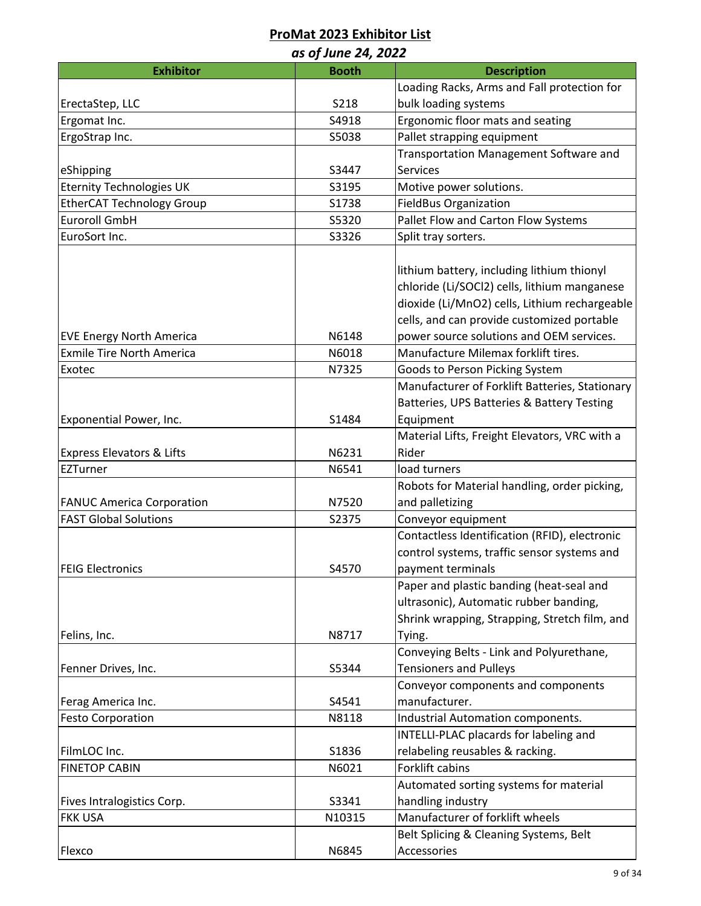| as of June 24, 2022                  |              |                                                |  |
|--------------------------------------|--------------|------------------------------------------------|--|
| <b>Exhibitor</b>                     | <b>Booth</b> | <b>Description</b>                             |  |
|                                      |              | Loading Racks, Arms and Fall protection for    |  |
| ErectaStep, LLC                      | S218         | bulk loading systems                           |  |
| Ergomat Inc.                         | S4918        | Ergonomic floor mats and seating               |  |
| ErgoStrap Inc.                       | S5038        | Pallet strapping equipment                     |  |
|                                      |              | Transportation Management Software and         |  |
| eShipping                            | S3447        | <b>Services</b>                                |  |
| <b>Eternity Technologies UK</b>      | S3195        | Motive power solutions.                        |  |
| <b>EtherCAT Technology Group</b>     | S1738        | <b>FieldBus Organization</b>                   |  |
| Euroroll GmbH                        | S5320        | Pallet Flow and Carton Flow Systems            |  |
| EuroSort Inc.                        | S3326        | Split tray sorters.                            |  |
|                                      |              |                                                |  |
|                                      |              | lithium battery, including lithium thionyl     |  |
|                                      |              | chloride (Li/SOCl2) cells, lithium manganese   |  |
|                                      |              | dioxide (Li/MnO2) cells, Lithium rechargeable  |  |
|                                      |              | cells, and can provide customized portable     |  |
| <b>EVE Energy North America</b>      | N6148        | power source solutions and OEM services.       |  |
| <b>Exmile Tire North America</b>     | N6018        | Manufacture Milemax forklift tires.            |  |
| Exotec                               | N7325        | Goods to Person Picking System                 |  |
|                                      |              | Manufacturer of Forklift Batteries, Stationary |  |
|                                      |              | Batteries, UPS Batteries & Battery Testing     |  |
| Exponential Power, Inc.              | S1484        | Equipment                                      |  |
|                                      |              | Material Lifts, Freight Elevators, VRC with a  |  |
| <b>Express Elevators &amp; Lifts</b> | N6231        | Rider                                          |  |
| EZTurner                             | N6541        | load turners                                   |  |
|                                      |              | Robots for Material handling, order picking,   |  |
| <b>FANUC America Corporation</b>     | N7520        | and palletizing                                |  |
| <b>FAST Global Solutions</b>         | S2375        | Conveyor equipment                             |  |
|                                      |              | Contactless Identification (RFID), electronic  |  |
|                                      |              | control systems, traffic sensor systems and    |  |
| <b>FEIG Electronics</b>              | S4570        | payment terminals                              |  |
|                                      |              | Paper and plastic banding (heat-seal and       |  |
|                                      |              | ultrasonic), Automatic rubber banding,         |  |
|                                      |              | Shrink wrapping, Strapping, Stretch film, and  |  |
| Felins, Inc.                         | N8717        | Tying.                                         |  |
|                                      |              | Conveying Belts - Link and Polyurethane,       |  |
| Fenner Drives, Inc.                  | S5344        | <b>Tensioners and Pulleys</b>                  |  |
|                                      |              | Conveyor components and components             |  |
| Ferag America Inc.                   | S4541        | manufacturer.                                  |  |
| <b>Festo Corporation</b>             | N8118        | Industrial Automation components.              |  |
|                                      |              | INTELLI-PLAC placards for labeling and         |  |
| FilmLOC Inc.                         | S1836        | relabeling reusables & racking.                |  |
| <b>FINETOP CABIN</b>                 | N6021        | Forklift cabins                                |  |
|                                      |              | Automated sorting systems for material         |  |
| Fives Intralogistics Corp.           | S3341        | handling industry                              |  |
| <b>FKK USA</b>                       | N10315       | Manufacturer of forklift wheels                |  |
|                                      |              | Belt Splicing & Cleaning Systems, Belt         |  |
| Flexco                               | N6845        | Accessories                                    |  |
|                                      |              |                                                |  |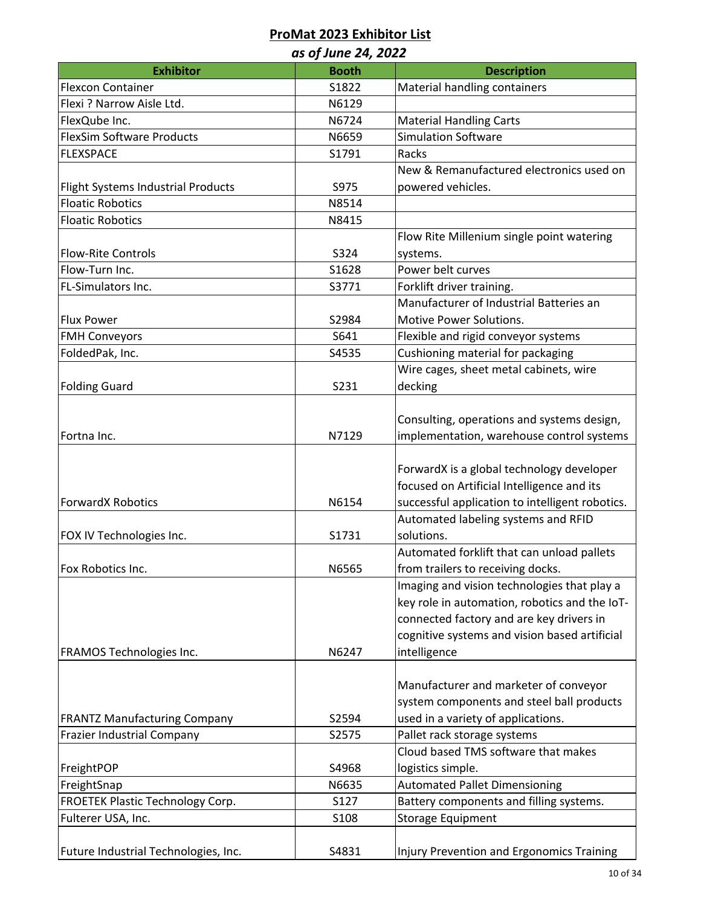| <b>Exhibitor</b><br><b>Booth</b><br><b>Description</b><br>Material handling containers<br><b>Flexcon Container</b><br>S1822<br>Flexi ? Narrow Aisle Ltd.<br>N6129<br>N6724<br><b>Material Handling Carts</b><br>FlexQube Inc.<br><b>FlexSim Software Products</b><br><b>Simulation Software</b><br>N6659<br><b>FLEXSPACE</b><br>S1791<br>Racks<br>New & Remanufactured electronics used on<br>S975<br>powered vehicles.<br>Flight Systems Industrial Products<br><b>Floatic Robotics</b><br>N8514<br><b>Floatic Robotics</b><br>N8415<br>Flow Rite Millenium single point watering<br>S324<br><b>Flow-Rite Controls</b><br>systems.<br>Power belt curves<br>Flow-Turn Inc.<br>S1628<br>FL-Simulators Inc.<br>S3771<br>Forklift driver training.<br>Manufacturer of Industrial Batteries an<br><b>Flux Power</b><br>S2984<br>Motive Power Solutions.<br>S641<br><b>FMH Conveyors</b><br>Flexible and rigid conveyor systems<br>FoldedPak, Inc.<br>Cushioning material for packaging<br>S4535<br>Wire cages, sheet metal cabinets, wire<br><b>Folding Guard</b><br>S231<br>decking<br>Consulting, operations and systems design,<br>implementation, warehouse control systems<br>Fortna Inc.<br>N7129<br>ForwardX is a global technology developer<br>focused on Artificial Intelligence and its<br>successful application to intelligent robotics.<br><b>ForwardX Robotics</b><br>N6154<br>Automated labeling systems and RFID<br>S1731<br>solutions.<br>FOX IV Technologies Inc.<br>Automated forklift that can unload pallets<br>from trailers to receiving docks.<br>Fox Robotics Inc.<br>N6565<br>Imaging and vision technologies that play a<br>key role in automation, robotics and the IoT-<br>connected factory and are key drivers in<br>cognitive systems and vision based artificial<br>intelligence<br>FRAMOS Technologies Inc.<br>N6247 | as of June 24, 2022 |  |
|-----------------------------------------------------------------------------------------------------------------------------------------------------------------------------------------------------------------------------------------------------------------------------------------------------------------------------------------------------------------------------------------------------------------------------------------------------------------------------------------------------------------------------------------------------------------------------------------------------------------------------------------------------------------------------------------------------------------------------------------------------------------------------------------------------------------------------------------------------------------------------------------------------------------------------------------------------------------------------------------------------------------------------------------------------------------------------------------------------------------------------------------------------------------------------------------------------------------------------------------------------------------------------------------------------------------------------------------------------------------------------------------------------------------------------------------------------------------------------------------------------------------------------------------------------------------------------------------------------------------------------------------------------------------------------------------------------------------------------------------------------------------------------------------------------------------------------------------------------|---------------------|--|
|                                                                                                                                                                                                                                                                                                                                                                                                                                                                                                                                                                                                                                                                                                                                                                                                                                                                                                                                                                                                                                                                                                                                                                                                                                                                                                                                                                                                                                                                                                                                                                                                                                                                                                                                                                                                                                                     |                     |  |
|                                                                                                                                                                                                                                                                                                                                                                                                                                                                                                                                                                                                                                                                                                                                                                                                                                                                                                                                                                                                                                                                                                                                                                                                                                                                                                                                                                                                                                                                                                                                                                                                                                                                                                                                                                                                                                                     |                     |  |
|                                                                                                                                                                                                                                                                                                                                                                                                                                                                                                                                                                                                                                                                                                                                                                                                                                                                                                                                                                                                                                                                                                                                                                                                                                                                                                                                                                                                                                                                                                                                                                                                                                                                                                                                                                                                                                                     |                     |  |
|                                                                                                                                                                                                                                                                                                                                                                                                                                                                                                                                                                                                                                                                                                                                                                                                                                                                                                                                                                                                                                                                                                                                                                                                                                                                                                                                                                                                                                                                                                                                                                                                                                                                                                                                                                                                                                                     |                     |  |
|                                                                                                                                                                                                                                                                                                                                                                                                                                                                                                                                                                                                                                                                                                                                                                                                                                                                                                                                                                                                                                                                                                                                                                                                                                                                                                                                                                                                                                                                                                                                                                                                                                                                                                                                                                                                                                                     |                     |  |
|                                                                                                                                                                                                                                                                                                                                                                                                                                                                                                                                                                                                                                                                                                                                                                                                                                                                                                                                                                                                                                                                                                                                                                                                                                                                                                                                                                                                                                                                                                                                                                                                                                                                                                                                                                                                                                                     |                     |  |
|                                                                                                                                                                                                                                                                                                                                                                                                                                                                                                                                                                                                                                                                                                                                                                                                                                                                                                                                                                                                                                                                                                                                                                                                                                                                                                                                                                                                                                                                                                                                                                                                                                                                                                                                                                                                                                                     |                     |  |
|                                                                                                                                                                                                                                                                                                                                                                                                                                                                                                                                                                                                                                                                                                                                                                                                                                                                                                                                                                                                                                                                                                                                                                                                                                                                                                                                                                                                                                                                                                                                                                                                                                                                                                                                                                                                                                                     |                     |  |
|                                                                                                                                                                                                                                                                                                                                                                                                                                                                                                                                                                                                                                                                                                                                                                                                                                                                                                                                                                                                                                                                                                                                                                                                                                                                                                                                                                                                                                                                                                                                                                                                                                                                                                                                                                                                                                                     |                     |  |
|                                                                                                                                                                                                                                                                                                                                                                                                                                                                                                                                                                                                                                                                                                                                                                                                                                                                                                                                                                                                                                                                                                                                                                                                                                                                                                                                                                                                                                                                                                                                                                                                                                                                                                                                                                                                                                                     |                     |  |
|                                                                                                                                                                                                                                                                                                                                                                                                                                                                                                                                                                                                                                                                                                                                                                                                                                                                                                                                                                                                                                                                                                                                                                                                                                                                                                                                                                                                                                                                                                                                                                                                                                                                                                                                                                                                                                                     |                     |  |
|                                                                                                                                                                                                                                                                                                                                                                                                                                                                                                                                                                                                                                                                                                                                                                                                                                                                                                                                                                                                                                                                                                                                                                                                                                                                                                                                                                                                                                                                                                                                                                                                                                                                                                                                                                                                                                                     |                     |  |
|                                                                                                                                                                                                                                                                                                                                                                                                                                                                                                                                                                                                                                                                                                                                                                                                                                                                                                                                                                                                                                                                                                                                                                                                                                                                                                                                                                                                                                                                                                                                                                                                                                                                                                                                                                                                                                                     |                     |  |
|                                                                                                                                                                                                                                                                                                                                                                                                                                                                                                                                                                                                                                                                                                                                                                                                                                                                                                                                                                                                                                                                                                                                                                                                                                                                                                                                                                                                                                                                                                                                                                                                                                                                                                                                                                                                                                                     |                     |  |
|                                                                                                                                                                                                                                                                                                                                                                                                                                                                                                                                                                                                                                                                                                                                                                                                                                                                                                                                                                                                                                                                                                                                                                                                                                                                                                                                                                                                                                                                                                                                                                                                                                                                                                                                                                                                                                                     |                     |  |
|                                                                                                                                                                                                                                                                                                                                                                                                                                                                                                                                                                                                                                                                                                                                                                                                                                                                                                                                                                                                                                                                                                                                                                                                                                                                                                                                                                                                                                                                                                                                                                                                                                                                                                                                                                                                                                                     |                     |  |
|                                                                                                                                                                                                                                                                                                                                                                                                                                                                                                                                                                                                                                                                                                                                                                                                                                                                                                                                                                                                                                                                                                                                                                                                                                                                                                                                                                                                                                                                                                                                                                                                                                                                                                                                                                                                                                                     |                     |  |
|                                                                                                                                                                                                                                                                                                                                                                                                                                                                                                                                                                                                                                                                                                                                                                                                                                                                                                                                                                                                                                                                                                                                                                                                                                                                                                                                                                                                                                                                                                                                                                                                                                                                                                                                                                                                                                                     |                     |  |
|                                                                                                                                                                                                                                                                                                                                                                                                                                                                                                                                                                                                                                                                                                                                                                                                                                                                                                                                                                                                                                                                                                                                                                                                                                                                                                                                                                                                                                                                                                                                                                                                                                                                                                                                                                                                                                                     |                     |  |
|                                                                                                                                                                                                                                                                                                                                                                                                                                                                                                                                                                                                                                                                                                                                                                                                                                                                                                                                                                                                                                                                                                                                                                                                                                                                                                                                                                                                                                                                                                                                                                                                                                                                                                                                                                                                                                                     |                     |  |
|                                                                                                                                                                                                                                                                                                                                                                                                                                                                                                                                                                                                                                                                                                                                                                                                                                                                                                                                                                                                                                                                                                                                                                                                                                                                                                                                                                                                                                                                                                                                                                                                                                                                                                                                                                                                                                                     |                     |  |
|                                                                                                                                                                                                                                                                                                                                                                                                                                                                                                                                                                                                                                                                                                                                                                                                                                                                                                                                                                                                                                                                                                                                                                                                                                                                                                                                                                                                                                                                                                                                                                                                                                                                                                                                                                                                                                                     |                     |  |
|                                                                                                                                                                                                                                                                                                                                                                                                                                                                                                                                                                                                                                                                                                                                                                                                                                                                                                                                                                                                                                                                                                                                                                                                                                                                                                                                                                                                                                                                                                                                                                                                                                                                                                                                                                                                                                                     |                     |  |
|                                                                                                                                                                                                                                                                                                                                                                                                                                                                                                                                                                                                                                                                                                                                                                                                                                                                                                                                                                                                                                                                                                                                                                                                                                                                                                                                                                                                                                                                                                                                                                                                                                                                                                                                                                                                                                                     |                     |  |
|                                                                                                                                                                                                                                                                                                                                                                                                                                                                                                                                                                                                                                                                                                                                                                                                                                                                                                                                                                                                                                                                                                                                                                                                                                                                                                                                                                                                                                                                                                                                                                                                                                                                                                                                                                                                                                                     |                     |  |
|                                                                                                                                                                                                                                                                                                                                                                                                                                                                                                                                                                                                                                                                                                                                                                                                                                                                                                                                                                                                                                                                                                                                                                                                                                                                                                                                                                                                                                                                                                                                                                                                                                                                                                                                                                                                                                                     |                     |  |
|                                                                                                                                                                                                                                                                                                                                                                                                                                                                                                                                                                                                                                                                                                                                                                                                                                                                                                                                                                                                                                                                                                                                                                                                                                                                                                                                                                                                                                                                                                                                                                                                                                                                                                                                                                                                                                                     |                     |  |
|                                                                                                                                                                                                                                                                                                                                                                                                                                                                                                                                                                                                                                                                                                                                                                                                                                                                                                                                                                                                                                                                                                                                                                                                                                                                                                                                                                                                                                                                                                                                                                                                                                                                                                                                                                                                                                                     |                     |  |
|                                                                                                                                                                                                                                                                                                                                                                                                                                                                                                                                                                                                                                                                                                                                                                                                                                                                                                                                                                                                                                                                                                                                                                                                                                                                                                                                                                                                                                                                                                                                                                                                                                                                                                                                                                                                                                                     |                     |  |
|                                                                                                                                                                                                                                                                                                                                                                                                                                                                                                                                                                                                                                                                                                                                                                                                                                                                                                                                                                                                                                                                                                                                                                                                                                                                                                                                                                                                                                                                                                                                                                                                                                                                                                                                                                                                                                                     |                     |  |
|                                                                                                                                                                                                                                                                                                                                                                                                                                                                                                                                                                                                                                                                                                                                                                                                                                                                                                                                                                                                                                                                                                                                                                                                                                                                                                                                                                                                                                                                                                                                                                                                                                                                                                                                                                                                                                                     |                     |  |
|                                                                                                                                                                                                                                                                                                                                                                                                                                                                                                                                                                                                                                                                                                                                                                                                                                                                                                                                                                                                                                                                                                                                                                                                                                                                                                                                                                                                                                                                                                                                                                                                                                                                                                                                                                                                                                                     |                     |  |
|                                                                                                                                                                                                                                                                                                                                                                                                                                                                                                                                                                                                                                                                                                                                                                                                                                                                                                                                                                                                                                                                                                                                                                                                                                                                                                                                                                                                                                                                                                                                                                                                                                                                                                                                                                                                                                                     |                     |  |
|                                                                                                                                                                                                                                                                                                                                                                                                                                                                                                                                                                                                                                                                                                                                                                                                                                                                                                                                                                                                                                                                                                                                                                                                                                                                                                                                                                                                                                                                                                                                                                                                                                                                                                                                                                                                                                                     |                     |  |
|                                                                                                                                                                                                                                                                                                                                                                                                                                                                                                                                                                                                                                                                                                                                                                                                                                                                                                                                                                                                                                                                                                                                                                                                                                                                                                                                                                                                                                                                                                                                                                                                                                                                                                                                                                                                                                                     |                     |  |
|                                                                                                                                                                                                                                                                                                                                                                                                                                                                                                                                                                                                                                                                                                                                                                                                                                                                                                                                                                                                                                                                                                                                                                                                                                                                                                                                                                                                                                                                                                                                                                                                                                                                                                                                                                                                                                                     |                     |  |
|                                                                                                                                                                                                                                                                                                                                                                                                                                                                                                                                                                                                                                                                                                                                                                                                                                                                                                                                                                                                                                                                                                                                                                                                                                                                                                                                                                                                                                                                                                                                                                                                                                                                                                                                                                                                                                                     |                     |  |
| Manufacturer and marketer of conveyor                                                                                                                                                                                                                                                                                                                                                                                                                                                                                                                                                                                                                                                                                                                                                                                                                                                                                                                                                                                                                                                                                                                                                                                                                                                                                                                                                                                                                                                                                                                                                                                                                                                                                                                                                                                                               |                     |  |
| system components and steel ball products                                                                                                                                                                                                                                                                                                                                                                                                                                                                                                                                                                                                                                                                                                                                                                                                                                                                                                                                                                                                                                                                                                                                                                                                                                                                                                                                                                                                                                                                                                                                                                                                                                                                                                                                                                                                           |                     |  |
| used in a variety of applications.<br><b>FRANTZ Manufacturing Company</b><br>S2594                                                                                                                                                                                                                                                                                                                                                                                                                                                                                                                                                                                                                                                                                                                                                                                                                                                                                                                                                                                                                                                                                                                                                                                                                                                                                                                                                                                                                                                                                                                                                                                                                                                                                                                                                                  |                     |  |
| <b>Frazier Industrial Company</b><br>Pallet rack storage systems<br>S2575                                                                                                                                                                                                                                                                                                                                                                                                                                                                                                                                                                                                                                                                                                                                                                                                                                                                                                                                                                                                                                                                                                                                                                                                                                                                                                                                                                                                                                                                                                                                                                                                                                                                                                                                                                           |                     |  |
| Cloud based TMS software that makes                                                                                                                                                                                                                                                                                                                                                                                                                                                                                                                                                                                                                                                                                                                                                                                                                                                                                                                                                                                                                                                                                                                                                                                                                                                                                                                                                                                                                                                                                                                                                                                                                                                                                                                                                                                                                 |                     |  |
| logistics simple.<br>FreightPOP<br>S4968                                                                                                                                                                                                                                                                                                                                                                                                                                                                                                                                                                                                                                                                                                                                                                                                                                                                                                                                                                                                                                                                                                                                                                                                                                                                                                                                                                                                                                                                                                                                                                                                                                                                                                                                                                                                            |                     |  |
| <b>Automated Pallet Dimensioning</b><br>FreightSnap<br>N6635                                                                                                                                                                                                                                                                                                                                                                                                                                                                                                                                                                                                                                                                                                                                                                                                                                                                                                                                                                                                                                                                                                                                                                                                                                                                                                                                                                                                                                                                                                                                                                                                                                                                                                                                                                                        |                     |  |
| FROETEK Plastic Technology Corp.<br>Battery components and filling systems.<br>S127                                                                                                                                                                                                                                                                                                                                                                                                                                                                                                                                                                                                                                                                                                                                                                                                                                                                                                                                                                                                                                                                                                                                                                                                                                                                                                                                                                                                                                                                                                                                                                                                                                                                                                                                                                 |                     |  |
| Fulterer USA, Inc.<br>S108<br><b>Storage Equipment</b>                                                                                                                                                                                                                                                                                                                                                                                                                                                                                                                                                                                                                                                                                                                                                                                                                                                                                                                                                                                                                                                                                                                                                                                                                                                                                                                                                                                                                                                                                                                                                                                                                                                                                                                                                                                              |                     |  |
|                                                                                                                                                                                                                                                                                                                                                                                                                                                                                                                                                                                                                                                                                                                                                                                                                                                                                                                                                                                                                                                                                                                                                                                                                                                                                                                                                                                                                                                                                                                                                                                                                                                                                                                                                                                                                                                     |                     |  |
| Injury Prevention and Ergonomics Training<br>Future Industrial Technologies, Inc.<br>S4831                                                                                                                                                                                                                                                                                                                                                                                                                                                                                                                                                                                                                                                                                                                                                                                                                                                                                                                                                                                                                                                                                                                                                                                                                                                                                                                                                                                                                                                                                                                                                                                                                                                                                                                                                          |                     |  |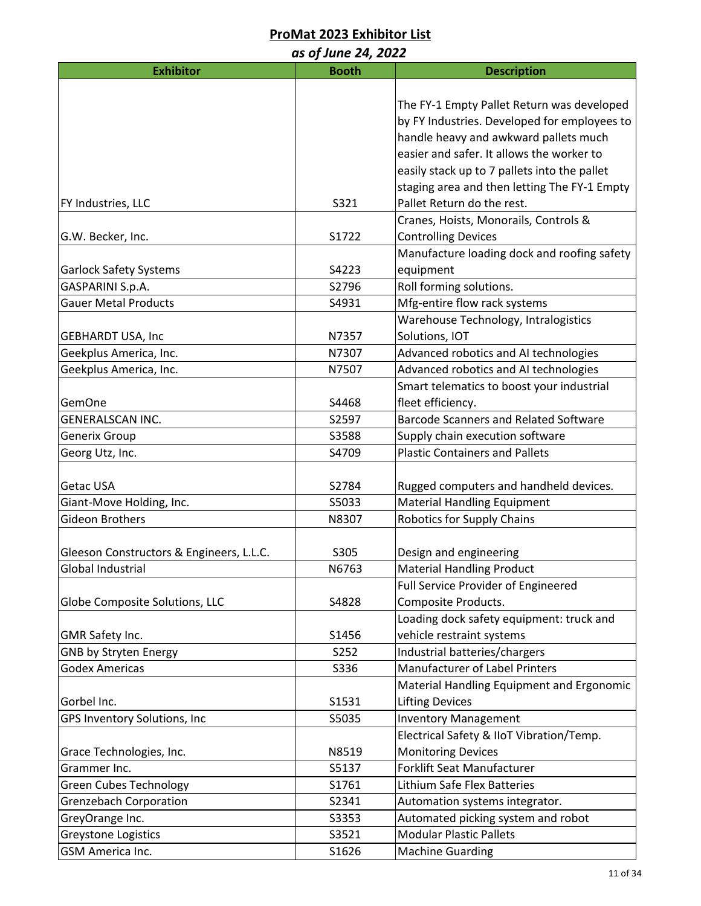| as of June 24, 2022                      |              |                                              |  |
|------------------------------------------|--------------|----------------------------------------------|--|
| <b>Exhibitor</b>                         | <b>Booth</b> | <b>Description</b>                           |  |
|                                          |              |                                              |  |
|                                          |              | The FY-1 Empty Pallet Return was developed   |  |
|                                          |              | by FY Industries. Developed for employees to |  |
|                                          |              | handle heavy and awkward pallets much        |  |
|                                          |              | easier and safer. It allows the worker to    |  |
|                                          |              | easily stack up to 7 pallets into the pallet |  |
|                                          |              | staging area and then letting The FY-1 Empty |  |
| FY Industries, LLC                       | S321         | Pallet Return do the rest.                   |  |
|                                          |              | Cranes, Hoists, Monorails, Controls &        |  |
| G.W. Becker, Inc.                        | S1722        | <b>Controlling Devices</b>                   |  |
|                                          |              | Manufacture loading dock and roofing safety  |  |
| <b>Garlock Safety Systems</b>            | S4223        | equipment                                    |  |
| GASPARINI S.p.A.                         | S2796        | Roll forming solutions.                      |  |
| <b>Gauer Metal Products</b>              | S4931        | Mfg-entire flow rack systems                 |  |
|                                          |              | Warehouse Technology, Intralogistics         |  |
| GEBHARDT USA, Inc                        | N7357        | Solutions, IOT                               |  |
| Geekplus America, Inc.                   | N7307        | Advanced robotics and AI technologies        |  |
| Geekplus America, Inc.                   | N7507        | Advanced robotics and AI technologies        |  |
|                                          |              | Smart telematics to boost your industrial    |  |
| <b>GemOne</b>                            | S4468        | fleet efficiency.                            |  |
| <b>GENERALSCAN INC.</b>                  | S2597        | <b>Barcode Scanners and Related Software</b> |  |
| Generix Group                            | S3588        | Supply chain execution software              |  |
| Georg Utz, Inc.                          | S4709        | <b>Plastic Containers and Pallets</b>        |  |
|                                          |              |                                              |  |
| Getac USA                                | S2784        | Rugged computers and handheld devices.       |  |
| Giant-Move Holding, Inc.                 | S5033        | <b>Material Handling Equipment</b>           |  |
| <b>Gideon Brothers</b>                   | N8307        | <b>Robotics for Supply Chains</b>            |  |
|                                          |              |                                              |  |
| Gleeson Constructors & Engineers, L.L.C. | S305         | Design and engineering                       |  |
| Global Industrial                        | N6763        | <b>Material Handling Product</b>             |  |
|                                          |              | Full Service Provider of Engineered          |  |
| Globe Composite Solutions, LLC           | S4828        | Composite Products.                          |  |
|                                          |              | Loading dock safety equipment: truck and     |  |
| GMR Safety Inc.                          | S1456        | vehicle restraint systems                    |  |
| GNB by Stryten Energy                    | S252         | Industrial batteries/chargers                |  |
| <b>Godex Americas</b>                    | S336         | <b>Manufacturer of Label Printers</b>        |  |
|                                          |              | Material Handling Equipment and Ergonomic    |  |
| Gorbel Inc.                              | S1531        | <b>Lifting Devices</b>                       |  |
| GPS Inventory Solutions, Inc             | S5035        | <b>Inventory Management</b>                  |  |
|                                          |              | Electrical Safety & IIoT Vibration/Temp.     |  |
| Grace Technologies, Inc.                 | N8519        | <b>Monitoring Devices</b>                    |  |
| Grammer Inc.                             | S5137        | Forklift Seat Manufacturer                   |  |
| <b>Green Cubes Technology</b>            | S1761        | <b>Lithium Safe Flex Batteries</b>           |  |
| <b>Grenzebach Corporation</b>            | S2341        | Automation systems integrator.               |  |
| GreyOrange Inc.                          | S3353        | Automated picking system and robot           |  |
| <b>Greystone Logistics</b>               | S3521        | <b>Modular Plastic Pallets</b>               |  |
| GSM America Inc.                         | S1626        | <b>Machine Guarding</b>                      |  |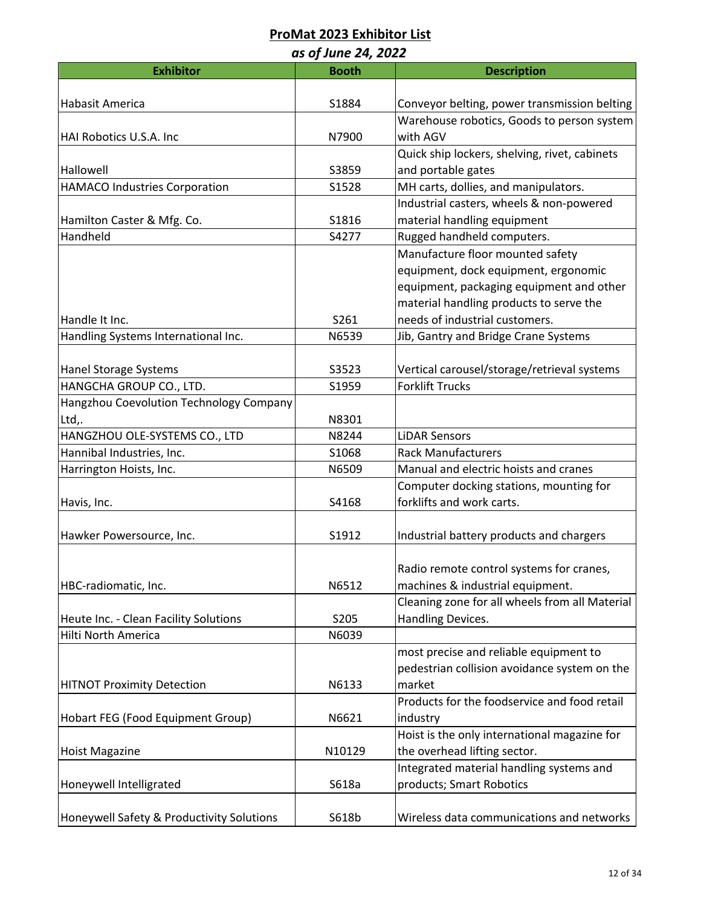|                                           | US UJ JUNE Z4, ZUZZ |                                                |
|-------------------------------------------|---------------------|------------------------------------------------|
| <b>Exhibitor</b>                          | <b>Booth</b>        | <b>Description</b>                             |
|                                           |                     |                                                |
| <b>Habasit America</b>                    | S1884               | Conveyor belting, power transmission belting   |
|                                           |                     | Warehouse robotics, Goods to person system     |
| HAI Robotics U.S.A. Inc.                  | N7900               | with AGV                                       |
|                                           |                     | Quick ship lockers, shelving, rivet, cabinets  |
| Hallowell                                 | S3859               | and portable gates                             |
| <b>HAMACO Industries Corporation</b>      | S1528               | MH carts, dollies, and manipulators.           |
|                                           |                     | Industrial casters, wheels & non-powered       |
| Hamilton Caster & Mfg. Co.                | S1816               | material handling equipment                    |
| Handheld                                  | S4277               | Rugged handheld computers.                     |
|                                           |                     | Manufacture floor mounted safety               |
|                                           |                     | equipment, dock equipment, ergonomic           |
|                                           |                     | equipment, packaging equipment and other       |
|                                           |                     | material handling products to serve the        |
| Handle It Inc.                            | S261                | needs of industrial customers.                 |
| Handling Systems International Inc.       | N6539               | Jib, Gantry and Bridge Crane Systems           |
|                                           |                     |                                                |
| Hanel Storage Systems                     | S3523               | Vertical carousel/storage/retrieval systems    |
| HANGCHA GROUP CO., LTD.                   | S1959               | <b>Forklift Trucks</b>                         |
| Hangzhou Coevolution Technology Company   |                     |                                                |
| Ltd,.                                     | N8301               |                                                |
| HANGZHOU OLE-SYSTEMS CO., LTD             | N8244               | <b>LiDAR Sensors</b>                           |
| Hannibal Industries, Inc.                 | S1068               | <b>Rack Manufacturers</b>                      |
| Harrington Hoists, Inc.                   | N6509               | Manual and electric hoists and cranes          |
|                                           |                     | Computer docking stations, mounting for        |
| Havis, Inc.                               | S4168               | forklifts and work carts.                      |
|                                           |                     |                                                |
| Hawker Powersource, Inc.                  | S1912               | Industrial battery products and chargers       |
|                                           |                     |                                                |
|                                           |                     | Radio remote control systems for cranes,       |
| HBC-radiomatic, Inc.                      | N6512               | machines & industrial equipment.               |
|                                           |                     | Cleaning zone for all wheels from all Material |
| Heute Inc. - Clean Facility Solutions     | S205                | Handling Devices.                              |
| Hilti North America                       | N6039               |                                                |
|                                           |                     | most precise and reliable equipment to         |
|                                           |                     | pedestrian collision avoidance system on the   |
| <b>HITNOT Proximity Detection</b>         | N6133               | market                                         |
|                                           |                     | Products for the foodservice and food retail   |
| Hobart FEG (Food Equipment Group)         | N6621               | industry                                       |
|                                           |                     | Hoist is the only international magazine for   |
| <b>Hoist Magazine</b>                     | N10129              | the overhead lifting sector.                   |
|                                           |                     | Integrated material handling systems and       |
| Honeywell Intelligrated                   | S618a               | products; Smart Robotics                       |
|                                           |                     |                                                |
| Honeywell Safety & Productivity Solutions | S618b               | Wireless data communications and networks      |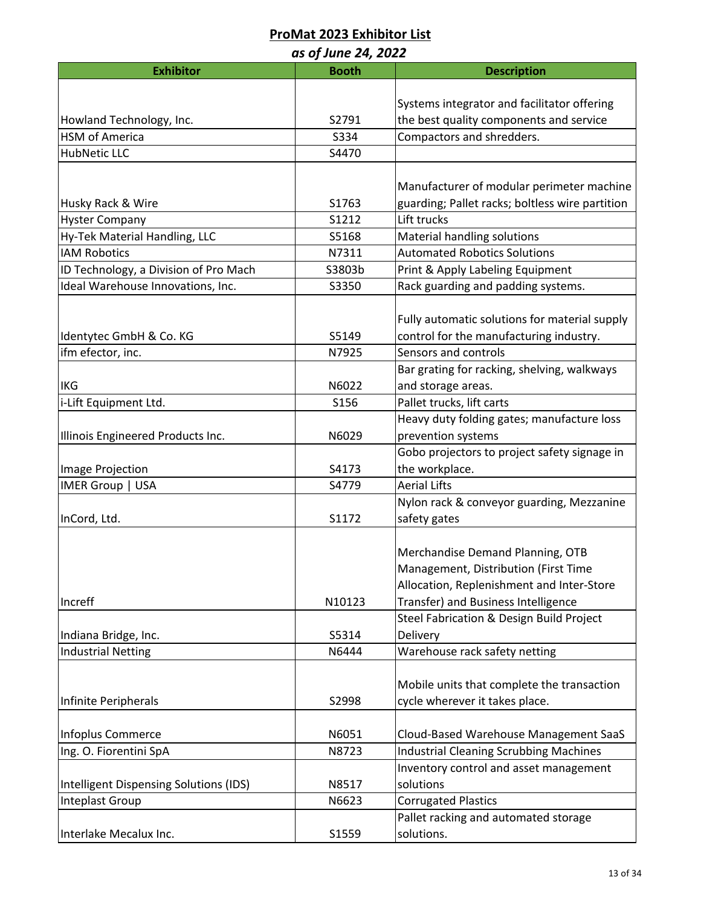| as of June 24, 2022                    |              |                                                 |  |
|----------------------------------------|--------------|-------------------------------------------------|--|
| <b>Exhibitor</b>                       | <b>Booth</b> | <b>Description</b>                              |  |
|                                        |              |                                                 |  |
|                                        |              | Systems integrator and facilitator offering     |  |
| Howland Technology, Inc.               | S2791        | the best quality components and service         |  |
| <b>HSM of America</b>                  | S334         | Compactors and shredders.                       |  |
| <b>HubNetic LLC</b>                    | S4470        |                                                 |  |
|                                        |              | Manufacturer of modular perimeter machine       |  |
| Husky Rack & Wire                      | S1763        | guarding; Pallet racks; boltless wire partition |  |
| <b>Hyster Company</b>                  | S1212        | Lift trucks                                     |  |
| Hy-Tek Material Handling, LLC          | S5168        | Material handling solutions                     |  |
| <b>IAM Robotics</b>                    | N7311        | <b>Automated Robotics Solutions</b>             |  |
| ID Technology, a Division of Pro Mach  | S3803b       | Print & Apply Labeling Equipment                |  |
| Ideal Warehouse Innovations, Inc.      | S3350        | Rack guarding and padding systems.              |  |
|                                        |              |                                                 |  |
|                                        |              | Fully automatic solutions for material supply   |  |
| Identytec GmbH & Co. KG                | S5149        | control for the manufacturing industry.         |  |
| ifm efector, inc.                      | N7925        | Sensors and controls                            |  |
|                                        |              | Bar grating for racking, shelving, walkways     |  |
| <b>IKG</b>                             | N6022        | and storage areas.                              |  |
| i-Lift Equipment Ltd.                  | S156         | Pallet trucks, lift carts                       |  |
|                                        |              | Heavy duty folding gates; manufacture loss      |  |
| Illinois Engineered Products Inc.      | N6029        | prevention systems                              |  |
|                                        |              | Gobo projectors to project safety signage in    |  |
| Image Projection                       | S4173        | the workplace.                                  |  |
| IMER Group   USA                       | S4779        | <b>Aerial Lifts</b>                             |  |
|                                        |              | Nylon rack & conveyor guarding, Mezzanine       |  |
| InCord, Ltd.                           | S1172        | safety gates                                    |  |
|                                        |              |                                                 |  |
|                                        |              | Merchandise Demand Planning, OTB                |  |
|                                        |              | Management, Distribution (First Time            |  |
|                                        |              | Allocation, Replenishment and Inter-Store       |  |
| Increff                                | N10123       | Transfer) and Business Intelligence             |  |
|                                        |              | Steel Fabrication & Design Build Project        |  |
| Indiana Bridge, Inc.                   | S5314        | Delivery                                        |  |
| <b>Industrial Netting</b>              | N6444        | Warehouse rack safety netting                   |  |
|                                        |              |                                                 |  |
|                                        |              | Mobile units that complete the transaction      |  |
| Infinite Peripherals                   | S2998        | cycle wherever it takes place.                  |  |
| Infoplus Commerce                      | N6051        | Cloud-Based Warehouse Management SaaS           |  |
| Ing. O. Fiorentini SpA                 | N8723        | <b>Industrial Cleaning Scrubbing Machines</b>   |  |
|                                        |              | Inventory control and asset management          |  |
| Intelligent Dispensing Solutions (IDS) | N8517        | solutions                                       |  |
| Inteplast Group                        | N6623        | <b>Corrugated Plastics</b>                      |  |
|                                        |              | Pallet racking and automated storage            |  |
| Interlake Mecalux Inc.                 | S1559        | solutions.                                      |  |
|                                        |              |                                                 |  |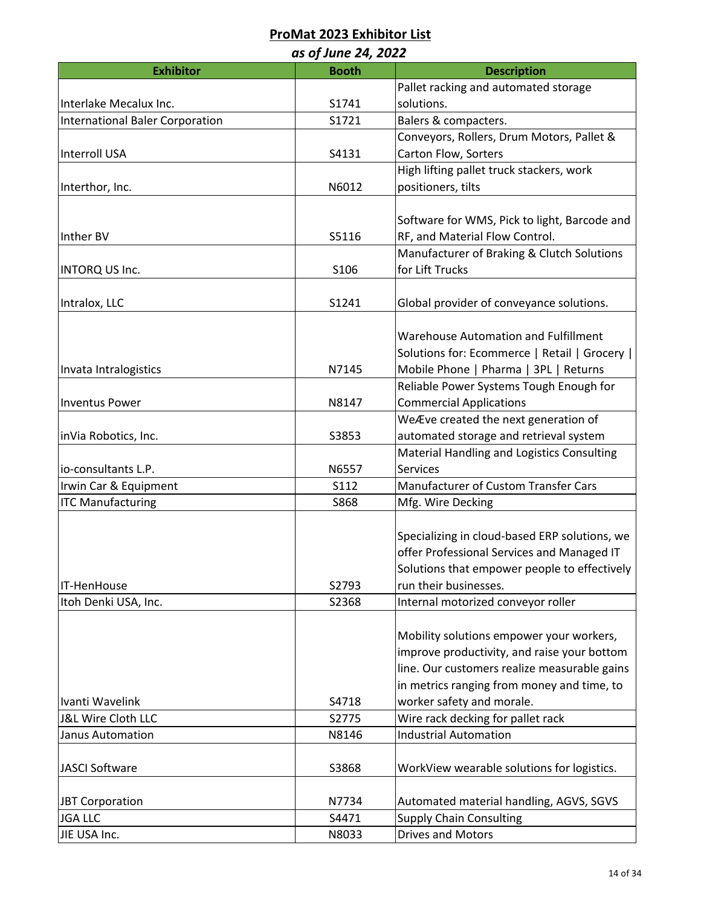| as of June 24, 2022                    |              |                                               |  |
|----------------------------------------|--------------|-----------------------------------------------|--|
| <b>Exhibitor</b>                       | <b>Booth</b> | <b>Description</b>                            |  |
|                                        |              | Pallet racking and automated storage          |  |
| Interlake Mecalux Inc.                 | S1741        | solutions.                                    |  |
| <b>International Baler Corporation</b> | S1721        | Balers & compacters.                          |  |
|                                        |              | Conveyors, Rollers, Drum Motors, Pallet &     |  |
| <b>Interroll USA</b>                   | S4131        | Carton Flow, Sorters                          |  |
|                                        |              | High lifting pallet truck stackers, work      |  |
| Interthor, Inc.                        | N6012        | positioners, tilts                            |  |
|                                        |              |                                               |  |
|                                        |              | Software for WMS, Pick to light, Barcode and  |  |
| Inther BV                              | S5116        | RF, and Material Flow Control.                |  |
|                                        |              | Manufacturer of Braking & Clutch Solutions    |  |
| INTORQ US Inc.                         | S106         | for Lift Trucks                               |  |
|                                        |              |                                               |  |
| Intralox, LLC                          | S1241        | Global provider of conveyance solutions.      |  |
|                                        |              |                                               |  |
|                                        |              | Warehouse Automation and Fulfillment          |  |
|                                        |              | Solutions for: Ecommerce   Retail   Grocery   |  |
| Invata Intralogistics                  | N7145        | Mobile Phone   Pharma   3PL   Returns         |  |
|                                        |              | Reliable Power Systems Tough Enough for       |  |
| <b>Inventus Power</b>                  | N8147        | <b>Commercial Applications</b>                |  |
|                                        |              | WeÆve created the next generation of          |  |
| inVia Robotics, Inc.                   | S3853        | automated storage and retrieval system        |  |
|                                        |              | Material Handling and Logistics Consulting    |  |
| io-consultants L.P.                    | N6557        | <b>Services</b>                               |  |
| Irwin Car & Equipment                  | S112         | Manufacturer of Custom Transfer Cars          |  |
| <b>ITC Manufacturing</b>               | S868         | Mfg. Wire Decking                             |  |
|                                        |              |                                               |  |
|                                        |              | Specializing in cloud-based ERP solutions, we |  |
|                                        |              | offer Professional Services and Managed IT    |  |
|                                        |              | Solutions that empower people to effectively  |  |
| IT-HenHouse                            | S2793        | run their businesses.                         |  |
| Itoh Denki USA, Inc.                   | S2368        | Internal motorized conveyor roller            |  |
|                                        |              |                                               |  |
|                                        |              | Mobility solutions empower your workers,      |  |
|                                        |              | improve productivity, and raise your bottom   |  |
|                                        |              | line. Our customers realize measurable gains  |  |
|                                        |              | in metrics ranging from money and time, to    |  |
| Ivanti Wavelink                        | S4718        | worker safety and morale.                     |  |
| J&L Wire Cloth LLC                     | S2775        | Wire rack decking for pallet rack             |  |
| Janus Automation                       | N8146        | <b>Industrial Automation</b>                  |  |
|                                        |              |                                               |  |
| <b>JASCI Software</b>                  | S3868        | WorkView wearable solutions for logistics.    |  |
|                                        |              |                                               |  |
| <b>JBT Corporation</b>                 | N7734        | Automated material handling, AGVS, SGVS       |  |
| <b>JGA LLC</b>                         | S4471        | <b>Supply Chain Consulting</b>                |  |
| JIE USA Inc.                           | N8033        | <b>Drives and Motors</b>                      |  |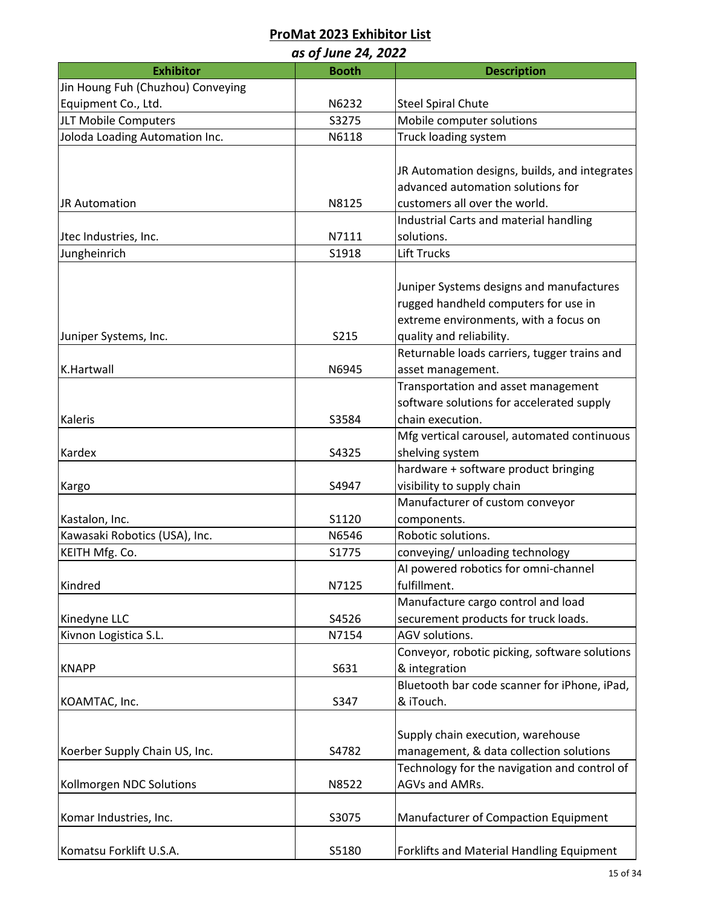| as of June 24, 2022               |              |                                               |  |
|-----------------------------------|--------------|-----------------------------------------------|--|
| <b>Exhibitor</b>                  | <b>Booth</b> | <b>Description</b>                            |  |
| Jin Houng Fuh (Chuzhou) Conveying |              |                                               |  |
| Equipment Co., Ltd.               | N6232        | <b>Steel Spiral Chute</b>                     |  |
| JLT Mobile Computers              | S3275        | Mobile computer solutions                     |  |
| Joloda Loading Automation Inc.    | N6118        | Truck loading system                          |  |
|                                   |              |                                               |  |
|                                   |              | JR Automation designs, builds, and integrates |  |
|                                   |              | advanced automation solutions for             |  |
| <b>JR Automation</b>              | N8125        | customers all over the world.                 |  |
|                                   |              | Industrial Carts and material handling        |  |
| Jtec Industries, Inc.             | N7111        | solutions.                                    |  |
| Jungheinrich                      | S1918        | <b>Lift Trucks</b>                            |  |
|                                   |              |                                               |  |
|                                   |              | Juniper Systems designs and manufactures      |  |
|                                   |              | rugged handheld computers for use in          |  |
|                                   |              | extreme environments, with a focus on         |  |
| Juniper Systems, Inc.             | S215         | quality and reliability.                      |  |
|                                   |              | Returnable loads carriers, tugger trains and  |  |
| K.Hartwall                        | N6945        | asset management.                             |  |
|                                   |              | Transportation and asset management           |  |
|                                   |              | software solutions for accelerated supply     |  |
| <b>Kaleris</b>                    | S3584        | chain execution.                              |  |
|                                   |              | Mfg vertical carousel, automated continuous   |  |
| Kardex                            | S4325        | shelving system                               |  |
|                                   |              | hardware + software product bringing          |  |
| Kargo                             | S4947        | visibility to supply chain                    |  |
|                                   |              | Manufacturer of custom conveyor               |  |
| Kastalon, Inc.                    | S1120        | components.                                   |  |
| Kawasaki Robotics (USA), Inc.     | N6546        | Robotic solutions.                            |  |
| KEITH Mfg. Co.                    | S1775        | conveying/ unloading technology               |  |
|                                   |              | AI powered robotics for omni-channel          |  |
| Kindred                           | N7125        | fulfillment.                                  |  |
|                                   |              | Manufacture cargo control and load            |  |
| Kinedyne LLC                      | S4526        | securement products for truck loads.          |  |
| Kivnon Logistica S.L.             | N7154        | AGV solutions.                                |  |
|                                   |              | Conveyor, robotic picking, software solutions |  |
| <b>KNAPP</b>                      | S631         | & integration                                 |  |
|                                   |              | Bluetooth bar code scanner for iPhone, iPad,  |  |
| KOAMTAC, Inc.                     | S347         | & iTouch.                                     |  |
|                                   |              |                                               |  |
|                                   |              | Supply chain execution, warehouse             |  |
| Koerber Supply Chain US, Inc.     | S4782        | management, & data collection solutions       |  |
|                                   |              | Technology for the navigation and control of  |  |
| Kollmorgen NDC Solutions          | N8522        | AGVs and AMRs.                                |  |
|                                   |              |                                               |  |
| Komar Industries, Inc.            | S3075        | Manufacturer of Compaction Equipment          |  |
|                                   |              |                                               |  |
| Komatsu Forklift U.S.A.           | S5180        | Forklifts and Material Handling Equipment     |  |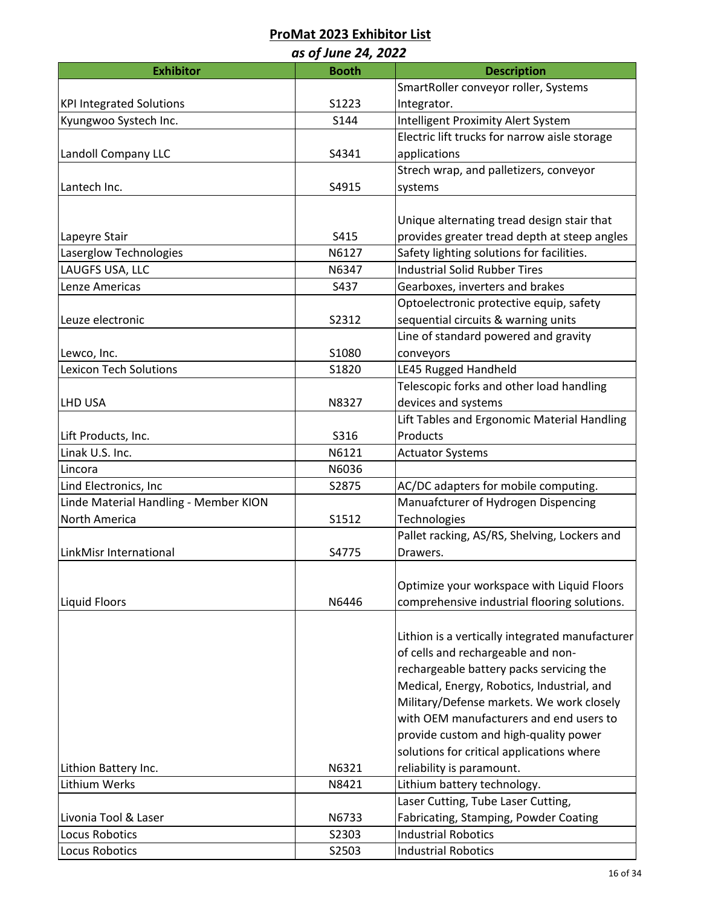| as of June 24, 2022                   |              |                                                 |  |
|---------------------------------------|--------------|-------------------------------------------------|--|
| <b>Exhibitor</b>                      | <b>Booth</b> | <b>Description</b>                              |  |
|                                       |              | SmartRoller conveyor roller, Systems            |  |
| <b>KPI Integrated Solutions</b>       | S1223        | Integrator.                                     |  |
| Kyungwoo Systech Inc.                 | S144         | Intelligent Proximity Alert System              |  |
|                                       |              | Electric lift trucks for narrow aisle storage   |  |
| Landoll Company LLC                   | S4341        | applications                                    |  |
|                                       |              | Strech wrap, and palletizers, conveyor          |  |
| Lantech Inc.                          | S4915        | systems                                         |  |
|                                       |              |                                                 |  |
|                                       |              | Unique alternating tread design stair that      |  |
| Lapeyre Stair                         | S415         | provides greater tread depth at steep angles    |  |
| Laserglow Technologies                | N6127        | Safety lighting solutions for facilities.       |  |
| LAUGFS USA, LLC                       | N6347        | <b>Industrial Solid Rubber Tires</b>            |  |
| Lenze Americas                        | S437         | Gearboxes, inverters and brakes                 |  |
|                                       |              | Optoelectronic protective equip, safety         |  |
| Leuze electronic                      | S2312        | sequential circuits & warning units             |  |
|                                       |              | Line of standard powered and gravity            |  |
| Lewco, Inc.                           | S1080        | conveyors                                       |  |
| <b>Lexicon Tech Solutions</b>         | S1820        | LE45 Rugged Handheld                            |  |
|                                       |              | Telescopic forks and other load handling        |  |
| LHD USA                               | N8327        | devices and systems                             |  |
|                                       |              | Lift Tables and Ergonomic Material Handling     |  |
| Lift Products, Inc.                   | S316         | Products                                        |  |
| Linak U.S. Inc.                       | N6121        | <b>Actuator Systems</b>                         |  |
| Lincora                               | N6036        |                                                 |  |
| Lind Electronics, Inc                 | S2875        | AC/DC adapters for mobile computing.            |  |
| Linde Material Handling - Member KION |              | Manuafcturer of Hydrogen Dispencing             |  |
| North America                         | S1512        | Technologies                                    |  |
|                                       |              | Pallet racking, AS/RS, Shelving, Lockers and    |  |
| LinkMisr International                | S4775        | Drawers.                                        |  |
|                                       |              |                                                 |  |
|                                       |              | Optimize your workspace with Liquid Floors      |  |
| Liquid Floors                         | N6446        | comprehensive industrial flooring solutions.    |  |
|                                       |              |                                                 |  |
|                                       |              | Lithion is a vertically integrated manufacturer |  |
|                                       |              | of cells and rechargeable and non-              |  |
|                                       |              | rechargeable battery packs servicing the        |  |
|                                       |              | Medical, Energy, Robotics, Industrial, and      |  |
|                                       |              | Military/Defense markets. We work closely       |  |
|                                       |              | with OEM manufacturers and end users to         |  |
|                                       |              | provide custom and high-quality power           |  |
|                                       |              | solutions for critical applications where       |  |
| Lithion Battery Inc.                  | N6321        | reliability is paramount.                       |  |
| Lithium Werks                         | N8421        | Lithium battery technology.                     |  |
|                                       |              | Laser Cutting, Tube Laser Cutting,              |  |
| Livonia Tool & Laser                  | N6733        | Fabricating, Stamping, Powder Coating           |  |
| <b>Locus Robotics</b>                 | S2303        | <b>Industrial Robotics</b>                      |  |
| Locus Robotics                        | S2503        | <b>Industrial Robotics</b>                      |  |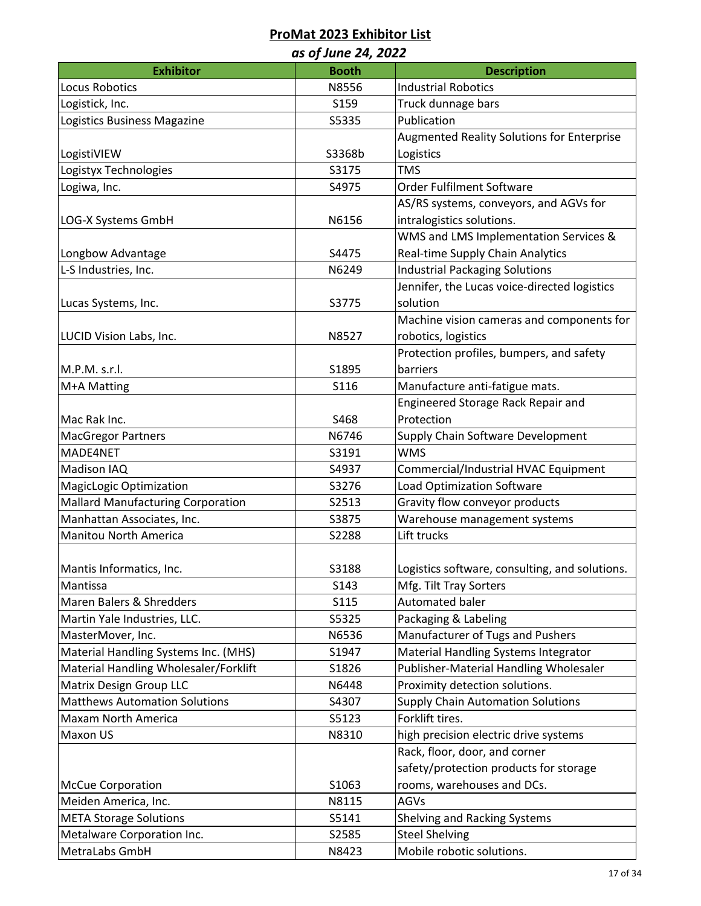| as of June 24, 2022                      |              |                                                   |  |
|------------------------------------------|--------------|---------------------------------------------------|--|
| <b>Exhibitor</b>                         | <b>Booth</b> | <b>Description</b>                                |  |
| <b>Locus Robotics</b>                    | N8556        | <b>Industrial Robotics</b>                        |  |
| Logistick, Inc.                          | S159         | Truck dunnage bars                                |  |
| Logistics Business Magazine              | S5335        | Publication                                       |  |
|                                          |              | <b>Augmented Reality Solutions for Enterprise</b> |  |
| LogistiVIEW                              | S3368b       | Logistics                                         |  |
| Logistyx Technologies                    | S3175        | <b>TMS</b>                                        |  |
| Logiwa, Inc.                             | S4975        | <b>Order Fulfilment Software</b>                  |  |
|                                          |              | AS/RS systems, conveyors, and AGVs for            |  |
| LOG-X Systems GmbH                       | N6156        | intralogistics solutions.                         |  |
|                                          |              | WMS and LMS Implementation Services &             |  |
| Longbow Advantage                        | S4475        | Real-time Supply Chain Analytics                  |  |
| L-S Industries, Inc.                     | N6249        | <b>Industrial Packaging Solutions</b>             |  |
|                                          |              | Jennifer, the Lucas voice-directed logistics      |  |
| Lucas Systems, Inc.                      | S3775        | solution                                          |  |
|                                          |              | Machine vision cameras and components for         |  |
| LUCID Vision Labs, Inc.                  | N8527        | robotics, logistics                               |  |
|                                          |              | Protection profiles, bumpers, and safety          |  |
| M.P.M. s.r.l.                            | S1895        | barriers                                          |  |
| M+A Matting                              | S116         | Manufacture anti-fatigue mats.                    |  |
|                                          |              | Engineered Storage Rack Repair and                |  |
| Mac Rak Inc.                             | S468         | Protection                                        |  |
| <b>MacGregor Partners</b>                | N6746        | Supply Chain Software Development                 |  |
| MADE4NET                                 | S3191        | <b>WMS</b>                                        |  |
| Madison IAQ                              | S4937        | Commercial/Industrial HVAC Equipment              |  |
| <b>MagicLogic Optimization</b>           | S3276        | <b>Load Optimization Software</b>                 |  |
| <b>Mallard Manufacturing Corporation</b> | S2513        | Gravity flow conveyor products                    |  |
| Manhattan Associates, Inc.               | S3875        | Warehouse management systems                      |  |
| <b>Manitou North America</b>             | S2288        | Lift trucks                                       |  |
|                                          |              |                                                   |  |
| Mantis Informatics, Inc.                 | S3188        | Logistics software, consulting, and solutions.    |  |
| Mantissa                                 | S143         | Mfg. Tilt Tray Sorters                            |  |
| Maren Balers & Shredders                 | S115         | Automated baler                                   |  |
| Martin Yale Industries, LLC.             | S5325        | Packaging & Labeling                              |  |
| MasterMover, Inc.                        | N6536        | Manufacturer of Tugs and Pushers                  |  |
| Material Handling Systems Inc. (MHS)     | S1947        | Material Handling Systems Integrator              |  |
| Material Handling Wholesaler/Forklift    | S1826        | Publisher-Material Handling Wholesaler            |  |
| Matrix Design Group LLC                  | N6448        | Proximity detection solutions.                    |  |
| <b>Matthews Automation Solutions</b>     | S4307        | <b>Supply Chain Automation Solutions</b>          |  |
| <b>Maxam North America</b>               | S5123        | Forklift tires.                                   |  |
| Maxon US                                 | N8310        | high precision electric drive systems             |  |
|                                          |              | Rack, floor, door, and corner                     |  |
|                                          |              | safety/protection products for storage            |  |
| <b>McCue Corporation</b>                 | S1063        | rooms, warehouses and DCs.                        |  |
| Meiden America, Inc.                     | N8115        | AGVs                                              |  |
| <b>META Storage Solutions</b>            | S5141        | Shelving and Racking Systems                      |  |
| Metalware Corporation Inc.               | S2585        | <b>Steel Shelving</b>                             |  |
| MetraLabs GmbH                           | N8423        | Mobile robotic solutions.                         |  |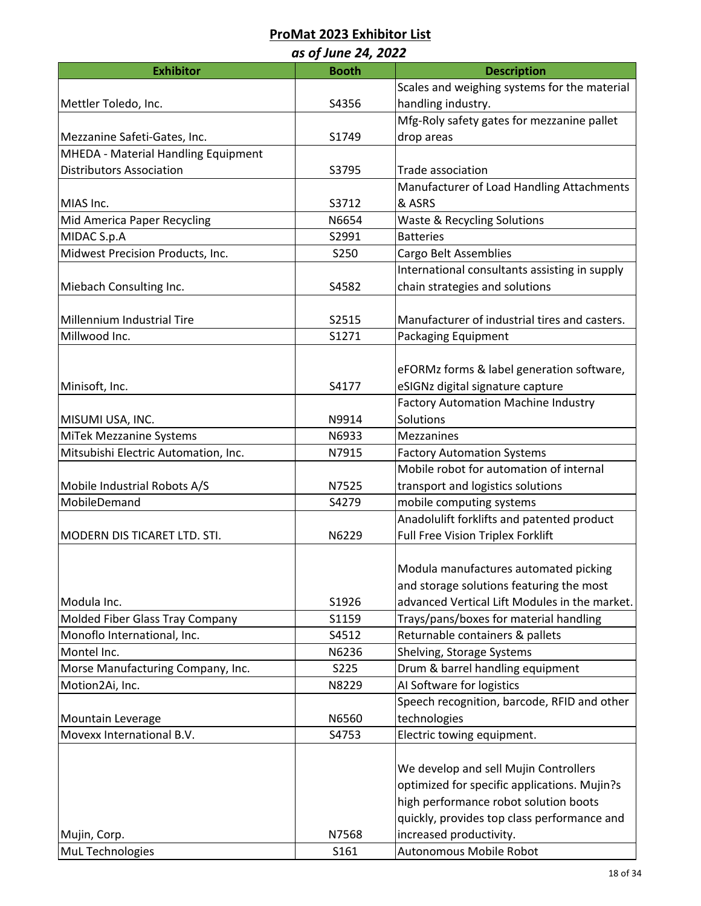| as of June 24, 2022                  |              |                                                                        |  |
|--------------------------------------|--------------|------------------------------------------------------------------------|--|
| <b>Exhibitor</b>                     | <b>Booth</b> | <b>Description</b>                                                     |  |
|                                      |              | Scales and weighing systems for the material                           |  |
| Mettler Toledo, Inc.                 | S4356        | handling industry.                                                     |  |
|                                      |              | Mfg-Roly safety gates for mezzanine pallet                             |  |
| Mezzanine Safeti-Gates, Inc.         | S1749        | drop areas                                                             |  |
| MHEDA - Material Handling Equipment  |              |                                                                        |  |
| <b>Distributors Association</b>      | S3795        | Trade association                                                      |  |
|                                      |              | Manufacturer of Load Handling Attachments                              |  |
| MIAS Inc.                            | S3712        | & ASRS                                                                 |  |
| Mid America Paper Recycling          | N6654        | <b>Waste &amp; Recycling Solutions</b>                                 |  |
| MIDAC S.p.A                          | S2991        | <b>Batteries</b>                                                       |  |
| Midwest Precision Products, Inc.     | S250         | Cargo Belt Assemblies                                                  |  |
|                                      |              | International consultants assisting in supply                          |  |
| Miebach Consulting Inc.              | S4582        | chain strategies and solutions                                         |  |
|                                      |              |                                                                        |  |
| Millennium Industrial Tire           | S2515        | Manufacturer of industrial tires and casters.                          |  |
| Millwood Inc.                        | S1271        | Packaging Equipment                                                    |  |
|                                      |              |                                                                        |  |
|                                      |              | eFORMz forms & label generation software,                              |  |
| Minisoft, Inc.                       | S4177        | eSIGNz digital signature capture                                       |  |
|                                      |              | <b>Factory Automation Machine Industry</b>                             |  |
| MISUMI USA, INC.                     | N9914        | Solutions                                                              |  |
| MiTek Mezzanine Systems              | N6933        | <b>Mezzanines</b>                                                      |  |
| Mitsubishi Electric Automation, Inc. | N7915        | <b>Factory Automation Systems</b>                                      |  |
|                                      |              | Mobile robot for automation of internal                                |  |
| Mobile Industrial Robots A/S         | N7525        | transport and logistics solutions                                      |  |
| MobileDemand                         | S4279        | mobile computing systems                                               |  |
|                                      |              | Anadolulift forklifts and patented product                             |  |
| MODERN DIS TICARET LTD. STI.         | N6229        | <b>Full Free Vision Triplex Forklift</b>                               |  |
|                                      |              |                                                                        |  |
|                                      |              | Modula manufactures automated picking                                  |  |
|                                      |              | and storage solutions featuring the most                               |  |
| Modula Inc.                          | S1926        | advanced Vertical Lift Modules in the market.                          |  |
| Molded Fiber Glass Tray Company      | S1159        | Trays/pans/boxes for material handling                                 |  |
| Monoflo International, Inc.          | S4512        | Returnable containers & pallets                                        |  |
| Montel Inc.                          | N6236        | Shelving, Storage Systems                                              |  |
| Morse Manufacturing Company, Inc.    | S225         | Drum & barrel handling equipment                                       |  |
| Motion2Ai, Inc.                      | N8229        | Al Software for logistics                                              |  |
|                                      |              | Speech recognition, barcode, RFID and other                            |  |
| Mountain Leverage                    | N6560        | technologies                                                           |  |
| Movexx International B.V.            | S4753        | Electric towing equipment.                                             |  |
|                                      |              |                                                                        |  |
|                                      |              | We develop and sell Mujin Controllers                                  |  |
|                                      |              | optimized for specific applications. Mujin?s                           |  |
|                                      |              | high performance robot solution boots                                  |  |
|                                      | N7568        | quickly, provides top class performance and<br>increased productivity. |  |
| Mujin, Corp.<br>MuL Technologies     | S161         | Autonomous Mobile Robot                                                |  |
|                                      |              |                                                                        |  |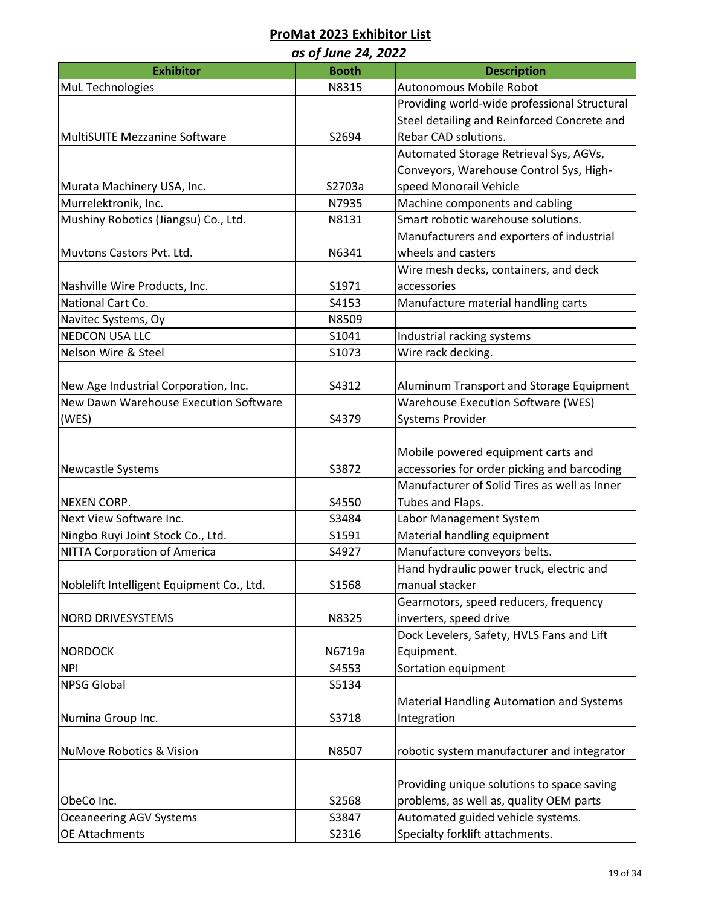| as of June 24, 2022                       |              |                                              |  |
|-------------------------------------------|--------------|----------------------------------------------|--|
| <b>Exhibitor</b>                          | <b>Booth</b> | <b>Description</b>                           |  |
| MuL Technologies                          | N8315        | Autonomous Mobile Robot                      |  |
|                                           |              | Providing world-wide professional Structural |  |
|                                           |              | Steel detailing and Reinforced Concrete and  |  |
| <b>MultiSUITE Mezzanine Software</b>      | S2694        | Rebar CAD solutions.                         |  |
|                                           |              | Automated Storage Retrieval Sys, AGVs,       |  |
|                                           |              | Conveyors, Warehouse Control Sys, High-      |  |
| Murata Machinery USA, Inc.                | S2703a       | speed Monorail Vehicle                       |  |
| Murrelektronik, Inc.                      | N7935        | Machine components and cabling               |  |
| Mushiny Robotics (Jiangsu) Co., Ltd.      | N8131        | Smart robotic warehouse solutions.           |  |
|                                           |              | Manufacturers and exporters of industrial    |  |
| Muvtons Castors Pvt. Ltd.                 | N6341        | wheels and casters                           |  |
|                                           |              | Wire mesh decks, containers, and deck        |  |
| Nashville Wire Products, Inc.             | S1971        | accessories                                  |  |
| National Cart Co.                         | S4153        | Manufacture material handling carts          |  |
| Navitec Systems, Oy                       | N8509        |                                              |  |
| <b>NEDCON USA LLC</b>                     | S1041        | Industrial racking systems                   |  |
| Nelson Wire & Steel                       | S1073        | Wire rack decking.                           |  |
|                                           |              |                                              |  |
| New Age Industrial Corporation, Inc.      | S4312        | Aluminum Transport and Storage Equipment     |  |
| New Dawn Warehouse Execution Software     |              | <b>Warehouse Execution Software (WES)</b>    |  |
| (WES)                                     | S4379        | <b>Systems Provider</b>                      |  |
|                                           |              |                                              |  |
|                                           |              | Mobile powered equipment carts and           |  |
| <b>Newcastle Systems</b>                  | S3872        | accessories for order picking and barcoding  |  |
|                                           |              | Manufacturer of Solid Tires as well as Inner |  |
| <b>NEXEN CORP.</b>                        | S4550        | Tubes and Flaps.                             |  |
| Next View Software Inc.                   | S3484        | Labor Management System                      |  |
| Ningbo Ruyi Joint Stock Co., Ltd.         | S1591        | Material handling equipment                  |  |
| <b>NITTA Corporation of America</b>       | S4927        | Manufacture conveyors belts.                 |  |
|                                           |              | Hand hydraulic power truck, electric and     |  |
| Noblelift Intelligent Equipment Co., Ltd. | S1568        | manual stacker                               |  |
|                                           |              | Gearmotors, speed reducers, frequency        |  |
| <b>NORD DRIVESYSTEMS</b>                  | N8325        | inverters, speed drive                       |  |
|                                           |              | Dock Levelers, Safety, HVLS Fans and Lift    |  |
| <b>NORDOCK</b>                            | N6719a       | Equipment.                                   |  |
| <b>NPI</b>                                | S4553        | Sortation equipment                          |  |
| <b>NPSG Global</b>                        | S5134        |                                              |  |
|                                           |              | Material Handling Automation and Systems     |  |
| Numina Group Inc.                         | S3718        | Integration                                  |  |
|                                           |              |                                              |  |
| <b>NuMove Robotics &amp; Vision</b>       | N8507        | robotic system manufacturer and integrator   |  |
|                                           |              |                                              |  |
|                                           |              | Providing unique solutions to space saving   |  |
| ObeCo Inc.                                | S2568        | problems, as well as, quality OEM parts      |  |
| <b>Oceaneering AGV Systems</b>            | S3847        | Automated guided vehicle systems.            |  |
| <b>OE Attachments</b>                     | S2316        | Specialty forklift attachments.              |  |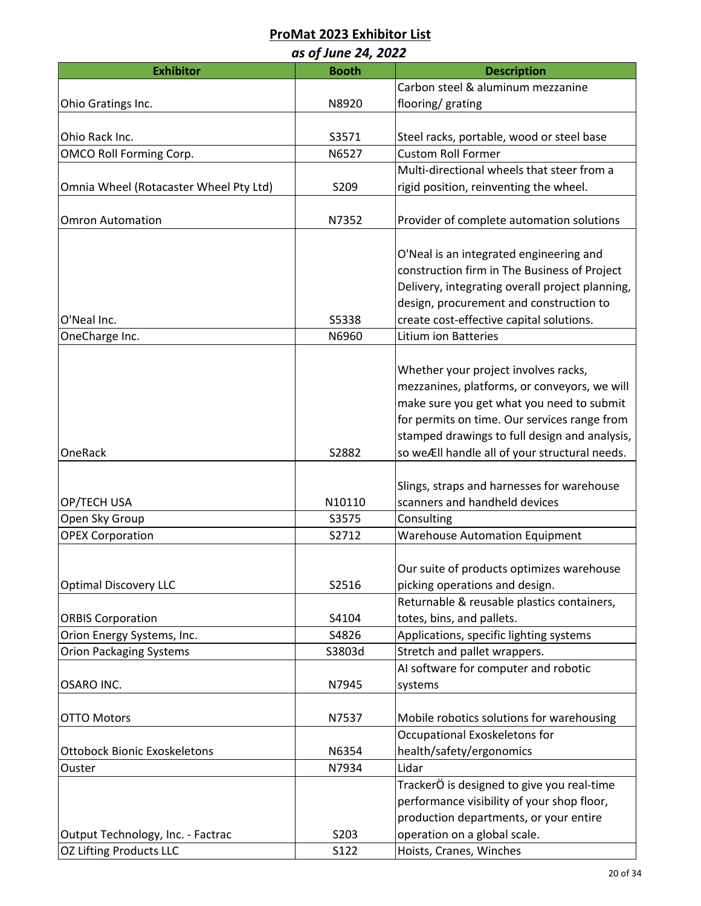|                                        | as of June 24, 2022 |                                                 |
|----------------------------------------|---------------------|-------------------------------------------------|
| <b>Exhibitor</b>                       | <b>Booth</b>        | <b>Description</b>                              |
|                                        |                     | Carbon steel & aluminum mezzanine               |
| Ohio Gratings Inc.                     | N8920               | flooring/grating                                |
|                                        |                     |                                                 |
| Ohio Rack Inc.                         | S3571               | Steel racks, portable, wood or steel base       |
| OMCO Roll Forming Corp.                | N6527               | <b>Custom Roll Former</b>                       |
|                                        |                     | Multi-directional wheels that steer from a      |
| Omnia Wheel (Rotacaster Wheel Pty Ltd) | S209                | rigid position, reinventing the wheel.          |
|                                        |                     |                                                 |
| <b>Omron Automation</b>                | N7352               | Provider of complete automation solutions       |
|                                        |                     |                                                 |
|                                        |                     | O'Neal is an integrated engineering and         |
|                                        |                     | construction firm in The Business of Project    |
|                                        |                     | Delivery, integrating overall project planning, |
|                                        |                     | design, procurement and construction to         |
| O'Neal Inc.                            | S5338               | create cost-effective capital solutions.        |
| OneCharge Inc.                         | N6960               | <b>Litium ion Batteries</b>                     |
|                                        |                     |                                                 |
|                                        |                     | Whether your project involves racks,            |
|                                        |                     | mezzanines, platforms, or conveyors, we will    |
|                                        |                     | make sure you get what you need to submit       |
|                                        |                     | for permits on time. Our services range from    |
|                                        |                     | stamped drawings to full design and analysis,   |
| <b>OneRack</b>                         | S2882               | so weÆll handle all of your structural needs.   |
|                                        |                     |                                                 |
|                                        |                     | Slings, straps and harnesses for warehouse      |
| OP/TECH USA                            | N10110              | scanners and handheld devices                   |
| Open Sky Group                         | S3575               | Consulting                                      |
| <b>OPEX Corporation</b>                | S2712               | <b>Warehouse Automation Equipment</b>           |
|                                        |                     |                                                 |
|                                        |                     | Our suite of products optimizes warehouse       |
| <b>Optimal Discovery LLC</b>           | S2516               | picking operations and design.                  |
|                                        |                     | Returnable & reusable plastics containers,      |
| <b>ORBIS Corporation</b>               | S4104               | totes, bins, and pallets.                       |
| Orion Energy Systems, Inc.             | S4826               | Applications, specific lighting systems         |
| <b>Orion Packaging Systems</b>         | S3803d              | Stretch and pallet wrappers.                    |
|                                        |                     | AI software for computer and robotic            |
| OSARO INC.                             | N7945               | systems                                         |
|                                        |                     |                                                 |
| <b>OTTO Motors</b>                     | N7537               | Mobile robotics solutions for warehousing       |
|                                        |                     | Occupational Exoskeletons for                   |
| <b>Ottobock Bionic Exoskeletons</b>    | N6354               | health/safety/ergonomics                        |
| Ouster                                 | N7934               | Lidar                                           |
|                                        |                     | TrackerÖ is designed to give you real-time      |
|                                        |                     | performance visibility of your shop floor,      |
|                                        |                     | production departments, or your entire          |
| Output Technology, Inc. - Factrac      | S203                | operation on a global scale.                    |
| <b>OZ Lifting Products LLC</b>         | S122                | Hoists, Cranes, Winches                         |
|                                        |                     |                                                 |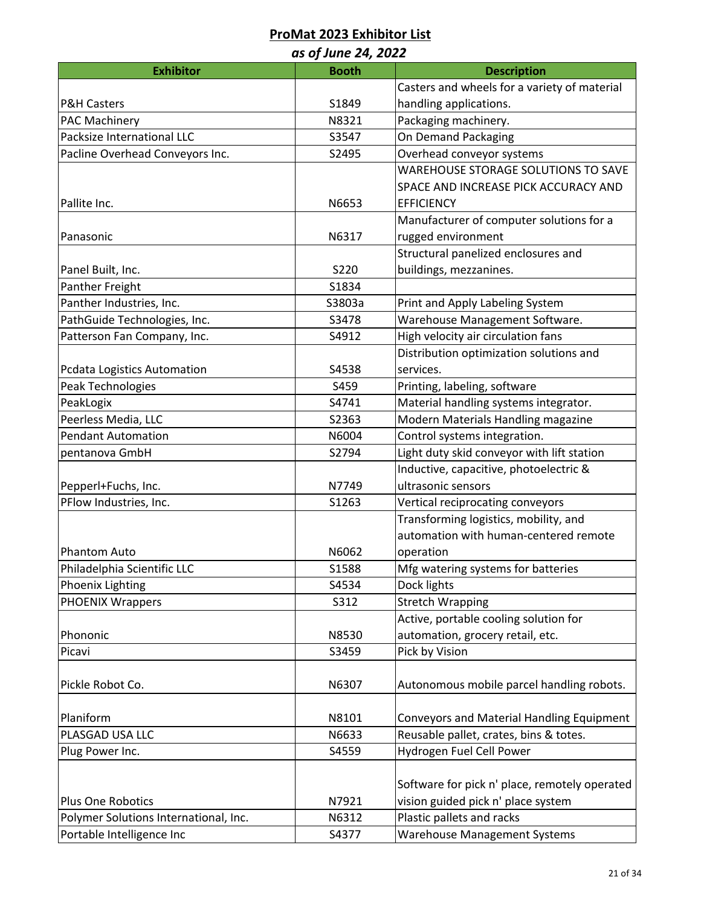| as of June 24, 2022                   |              |                                               |  |
|---------------------------------------|--------------|-----------------------------------------------|--|
| <b>Exhibitor</b>                      | <b>Booth</b> | <b>Description</b>                            |  |
|                                       |              | Casters and wheels for a variety of material  |  |
| <b>P&amp;H Casters</b>                | S1849        | handling applications.                        |  |
| <b>PAC Machinery</b>                  | N8321        | Packaging machinery.                          |  |
| Packsize International LLC            | S3547        | On Demand Packaging                           |  |
| Pacline Overhead Conveyors Inc.       | S2495        | Overhead conveyor systems                     |  |
|                                       |              | <b>WAREHOUSE STORAGE SOLUTIONS TO SAVE</b>    |  |
|                                       |              | SPACE AND INCREASE PICK ACCURACY AND          |  |
| Pallite Inc.                          | N6653        | <b>EFFICIENCY</b>                             |  |
|                                       |              | Manufacturer of computer solutions for a      |  |
| Panasonic                             | N6317        | rugged environment                            |  |
|                                       |              | Structural panelized enclosures and           |  |
| Panel Built, Inc.                     | S220         | buildings, mezzanines.                        |  |
| <b>Panther Freight</b>                | S1834        |                                               |  |
| Panther Industries, Inc.              | S3803a       | Print and Apply Labeling System               |  |
| PathGuide Technologies, Inc.          | S3478        | Warehouse Management Software.                |  |
| Patterson Fan Company, Inc.           | S4912        | High velocity air circulation fans            |  |
|                                       |              | Distribution optimization solutions and       |  |
| Pcdata Logistics Automation           | S4538        | services.                                     |  |
| Peak Technologies                     | S459         | Printing, labeling, software                  |  |
| PeakLogix                             | S4741        | Material handling systems integrator.         |  |
| Peerless Media, LLC                   | S2363        | Modern Materials Handling magazine            |  |
| <b>Pendant Automation</b>             | N6004        | Control systems integration.                  |  |
| pentanova GmbH                        | S2794        | Light duty skid conveyor with lift station    |  |
|                                       |              | Inductive, capacitive, photoelectric &        |  |
| Pepperl+Fuchs, Inc.                   | N7749        | ultrasonic sensors                            |  |
| PFlow Industries, Inc.                | S1263        | Vertical reciprocating conveyors              |  |
|                                       |              | Transforming logistics, mobility, and         |  |
|                                       |              | automation with human-centered remote         |  |
| Phantom Auto                          | N6062        | operation                                     |  |
| Philadelphia Scientific LLC           | S1588        | Mfg watering systems for batteries            |  |
| Phoenix Lighting                      | S4534        | Dock lights                                   |  |
| <b>PHOENIX Wrappers</b>               | S312         | <b>Stretch Wrapping</b>                       |  |
|                                       |              | Active, portable cooling solution for         |  |
| Phononic                              | N8530        | automation, grocery retail, etc.              |  |
| Picavi                                | S3459        | Pick by Vision                                |  |
|                                       |              |                                               |  |
| Pickle Robot Co.                      | N6307        | Autonomous mobile parcel handling robots.     |  |
|                                       |              |                                               |  |
| Planiform                             | N8101        | Conveyors and Material Handling Equipment     |  |
| PLASGAD USA LLC                       | N6633        | Reusable pallet, crates, bins & totes.        |  |
| Plug Power Inc.                       | S4559        | Hydrogen Fuel Cell Power                      |  |
|                                       |              |                                               |  |
|                                       |              | Software for pick n' place, remotely operated |  |
| Plus One Robotics                     | N7921        | vision guided pick n' place system            |  |
| Polymer Solutions International, Inc. | N6312        | Plastic pallets and racks                     |  |
| Portable Intelligence Inc             | S4377        | <b>Warehouse Management Systems</b>           |  |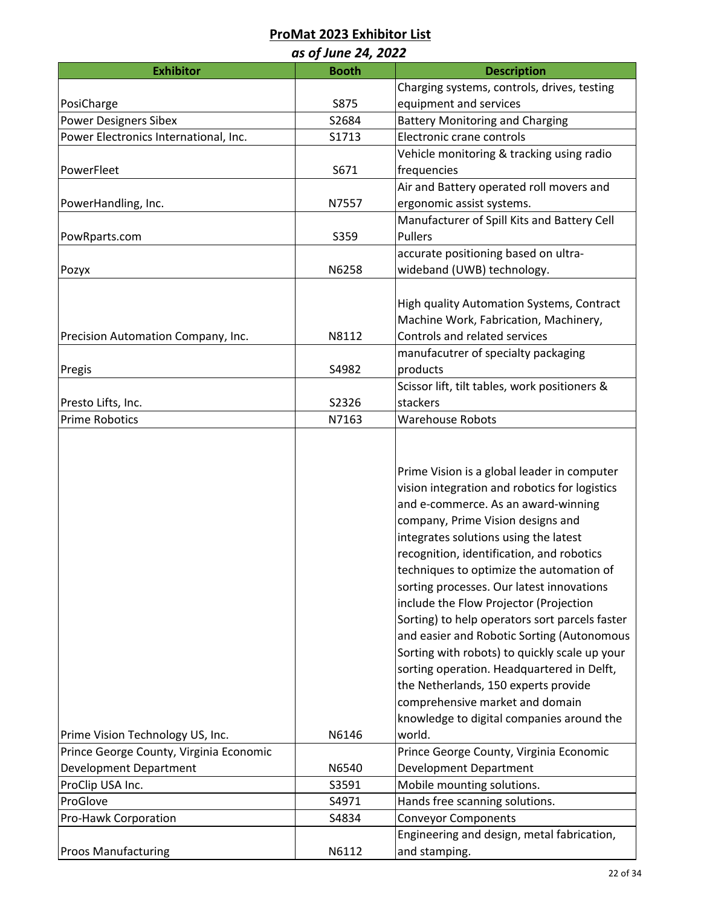| as of June 24, 2022                     |              |                                                                                                                                                                                                                                                                                                                                                                                                                                                                                                                                                                                                                                                                                                                          |  |
|-----------------------------------------|--------------|--------------------------------------------------------------------------------------------------------------------------------------------------------------------------------------------------------------------------------------------------------------------------------------------------------------------------------------------------------------------------------------------------------------------------------------------------------------------------------------------------------------------------------------------------------------------------------------------------------------------------------------------------------------------------------------------------------------------------|--|
| <b>Exhibitor</b>                        | <b>Booth</b> | <b>Description</b>                                                                                                                                                                                                                                                                                                                                                                                                                                                                                                                                                                                                                                                                                                       |  |
|                                         |              | Charging systems, controls, drives, testing                                                                                                                                                                                                                                                                                                                                                                                                                                                                                                                                                                                                                                                                              |  |
| PosiCharge                              | S875         | equipment and services                                                                                                                                                                                                                                                                                                                                                                                                                                                                                                                                                                                                                                                                                                   |  |
| <b>Power Designers Sibex</b>            | S2684        | <b>Battery Monitoring and Charging</b>                                                                                                                                                                                                                                                                                                                                                                                                                                                                                                                                                                                                                                                                                   |  |
| Power Electronics International, Inc.   | S1713        | Electronic crane controls                                                                                                                                                                                                                                                                                                                                                                                                                                                                                                                                                                                                                                                                                                |  |
|                                         |              | Vehicle monitoring & tracking using radio                                                                                                                                                                                                                                                                                                                                                                                                                                                                                                                                                                                                                                                                                |  |
| PowerFleet                              | S671         | frequencies                                                                                                                                                                                                                                                                                                                                                                                                                                                                                                                                                                                                                                                                                                              |  |
|                                         |              | Air and Battery operated roll movers and                                                                                                                                                                                                                                                                                                                                                                                                                                                                                                                                                                                                                                                                                 |  |
| PowerHandling, Inc.                     | N7557        | ergonomic assist systems.                                                                                                                                                                                                                                                                                                                                                                                                                                                                                                                                                                                                                                                                                                |  |
|                                         |              | Manufacturer of Spill Kits and Battery Cell                                                                                                                                                                                                                                                                                                                                                                                                                                                                                                                                                                                                                                                                              |  |
| PowRparts.com                           | S359         | Pullers                                                                                                                                                                                                                                                                                                                                                                                                                                                                                                                                                                                                                                                                                                                  |  |
|                                         |              | accurate positioning based on ultra-                                                                                                                                                                                                                                                                                                                                                                                                                                                                                                                                                                                                                                                                                     |  |
| Pozyx                                   | N6258        | wideband (UWB) technology.                                                                                                                                                                                                                                                                                                                                                                                                                                                                                                                                                                                                                                                                                               |  |
|                                         |              |                                                                                                                                                                                                                                                                                                                                                                                                                                                                                                                                                                                                                                                                                                                          |  |
|                                         |              | High quality Automation Systems, Contract                                                                                                                                                                                                                                                                                                                                                                                                                                                                                                                                                                                                                                                                                |  |
|                                         |              | Machine Work, Fabrication, Machinery,                                                                                                                                                                                                                                                                                                                                                                                                                                                                                                                                                                                                                                                                                    |  |
| Precision Automation Company, Inc.      | N8112        | Controls and related services                                                                                                                                                                                                                                                                                                                                                                                                                                                                                                                                                                                                                                                                                            |  |
|                                         |              | manufacutrer of specialty packaging                                                                                                                                                                                                                                                                                                                                                                                                                                                                                                                                                                                                                                                                                      |  |
| Pregis                                  | S4982        | products                                                                                                                                                                                                                                                                                                                                                                                                                                                                                                                                                                                                                                                                                                                 |  |
|                                         |              | Scissor lift, tilt tables, work positioners &                                                                                                                                                                                                                                                                                                                                                                                                                                                                                                                                                                                                                                                                            |  |
| Presto Lifts, Inc.                      | S2326        | stackers                                                                                                                                                                                                                                                                                                                                                                                                                                                                                                                                                                                                                                                                                                                 |  |
| <b>Prime Robotics</b>                   | N7163        | <b>Warehouse Robots</b>                                                                                                                                                                                                                                                                                                                                                                                                                                                                                                                                                                                                                                                                                                  |  |
|                                         |              | Prime Vision is a global leader in computer<br>vision integration and robotics for logistics<br>and e-commerce. As an award-winning<br>company, Prime Vision designs and<br>integrates solutions using the latest<br>recognition, identification, and robotics<br>techniques to optimize the automation of<br>sorting processes. Our latest innovations<br>include the Flow Projector (Projection<br>Sorting) to help operators sort parcels faster<br>and easier and Robotic Sorting (Autonomous<br>Sorting with robots) to quickly scale up your<br>sorting operation. Headquartered in Delft,<br>the Netherlands, 150 experts provide<br>comprehensive market and domain<br>knowledge to digital companies around the |  |
| Prime Vision Technology US, Inc.        | N6146        | world.                                                                                                                                                                                                                                                                                                                                                                                                                                                                                                                                                                                                                                                                                                                   |  |
| Prince George County, Virginia Economic |              | Prince George County, Virginia Economic                                                                                                                                                                                                                                                                                                                                                                                                                                                                                                                                                                                                                                                                                  |  |
| <b>Development Department</b>           | N6540        | <b>Development Department</b>                                                                                                                                                                                                                                                                                                                                                                                                                                                                                                                                                                                                                                                                                            |  |
| ProClip USA Inc.                        | S3591        | Mobile mounting solutions.                                                                                                                                                                                                                                                                                                                                                                                                                                                                                                                                                                                                                                                                                               |  |
| ProGlove                                | S4971        | Hands free scanning solutions.                                                                                                                                                                                                                                                                                                                                                                                                                                                                                                                                                                                                                                                                                           |  |
| Pro-Hawk Corporation                    | S4834        | <b>Conveyor Components</b>                                                                                                                                                                                                                                                                                                                                                                                                                                                                                                                                                                                                                                                                                               |  |
|                                         |              | Engineering and design, metal fabrication,                                                                                                                                                                                                                                                                                                                                                                                                                                                                                                                                                                                                                                                                               |  |
| <b>Proos Manufacturing</b>              | N6112        | and stamping.                                                                                                                                                                                                                                                                                                                                                                                                                                                                                                                                                                                                                                                                                                            |  |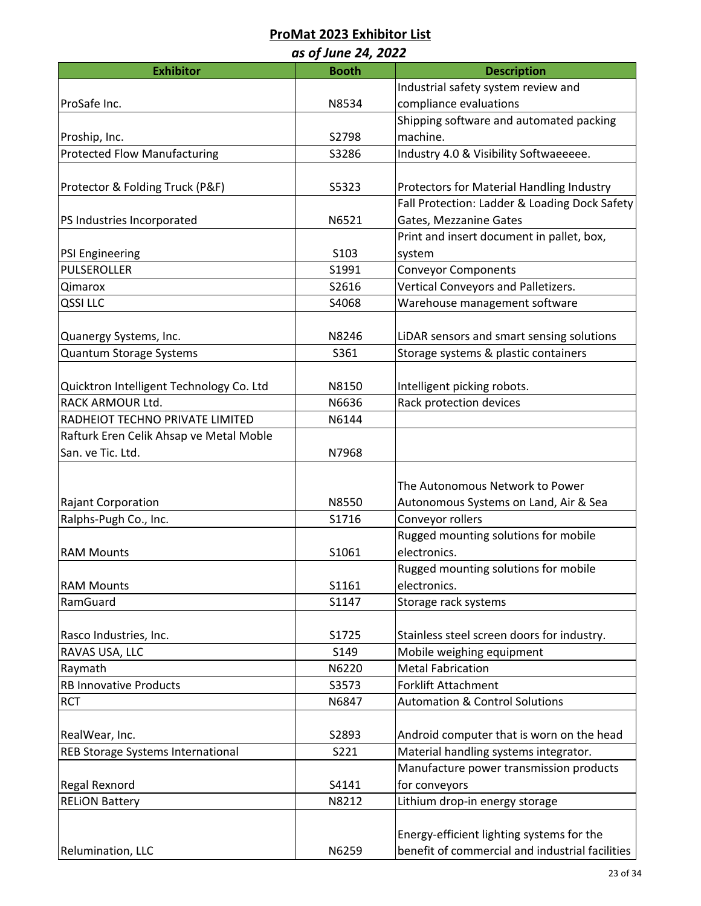| as of June 24, 2022                      |              |                                                 |  |
|------------------------------------------|--------------|-------------------------------------------------|--|
| <b>Exhibitor</b>                         | <b>Booth</b> | <b>Description</b>                              |  |
|                                          |              | Industrial safety system review and             |  |
| ProSafe Inc.                             | N8534        | compliance evaluations                          |  |
|                                          |              | Shipping software and automated packing         |  |
| Proship, Inc.                            | S2798        | machine.                                        |  |
| <b>Protected Flow Manufacturing</b>      | S3286        | Industry 4.0 & Visibility Softwaeeeee.          |  |
|                                          |              |                                                 |  |
| Protector & Folding Truck (P&F)          | S5323        | Protectors for Material Handling Industry       |  |
|                                          |              | Fall Protection: Ladder & Loading Dock Safety   |  |
| PS Industries Incorporated               | N6521        | Gates, Mezzanine Gates                          |  |
|                                          |              | Print and insert document in pallet, box,       |  |
| <b>PSI Engineering</b>                   | S103         | system                                          |  |
| PULSEROLLER                              | S1991        | <b>Conveyor Components</b>                      |  |
| Qimarox                                  | S2616        | Vertical Conveyors and Palletizers.             |  |
| <b>QSSILLC</b>                           | S4068        | Warehouse management software                   |  |
|                                          |              |                                                 |  |
| Quanergy Systems, Inc.                   | N8246        | LiDAR sensors and smart sensing solutions       |  |
| <b>Quantum Storage Systems</b>           | S361         | Storage systems & plastic containers            |  |
|                                          |              |                                                 |  |
| Quicktron Intelligent Technology Co. Ltd | N8150        | Intelligent picking robots.                     |  |
| RACK ARMOUR Ltd.                         | N6636        | Rack protection devices                         |  |
| RADHEIOT TECHNO PRIVATE LIMITED          | N6144        |                                                 |  |
| Rafturk Eren Celik Ahsap ve Metal Moble  |              |                                                 |  |
| San. ve Tic. Ltd.                        | N7968        |                                                 |  |
|                                          |              |                                                 |  |
|                                          |              | The Autonomous Network to Power                 |  |
| Rajant Corporation                       | N8550        | Autonomous Systems on Land, Air & Sea           |  |
| Ralphs-Pugh Co., Inc.                    | S1716        | Conveyor rollers                                |  |
|                                          |              | Rugged mounting solutions for mobile            |  |
| <b>RAM Mounts</b>                        | S1061        | electronics.                                    |  |
|                                          |              | Rugged mounting solutions for mobile            |  |
| <b>RAM Mounts</b>                        | S1161        | electronics.                                    |  |
| RamGuard                                 | S1147        | Storage rack systems                            |  |
|                                          |              |                                                 |  |
| Rasco Industries, Inc.                   | S1725        | Stainless steel screen doors for industry.      |  |
| RAVAS USA, LLC                           | S149         | Mobile weighing equipment                       |  |
| Raymath                                  | N6220        | <b>Metal Fabrication</b>                        |  |
| <b>RB Innovative Products</b>            | S3573        | <b>Forklift Attachment</b>                      |  |
| <b>RCT</b>                               | N6847        | <b>Automation &amp; Control Solutions</b>       |  |
|                                          |              |                                                 |  |
| RealWear, Inc.                           | S2893        | Android computer that is worn on the head       |  |
| REB Storage Systems International        | S221         | Material handling systems integrator.           |  |
|                                          |              | Manufacture power transmission products         |  |
| Regal Rexnord                            | S4141        | for conveyors                                   |  |
| <b>RELION Battery</b>                    | N8212        | Lithium drop-in energy storage                  |  |
|                                          |              |                                                 |  |
|                                          |              | Energy-efficient lighting systems for the       |  |
| Relumination, LLC                        | N6259        | benefit of commercial and industrial facilities |  |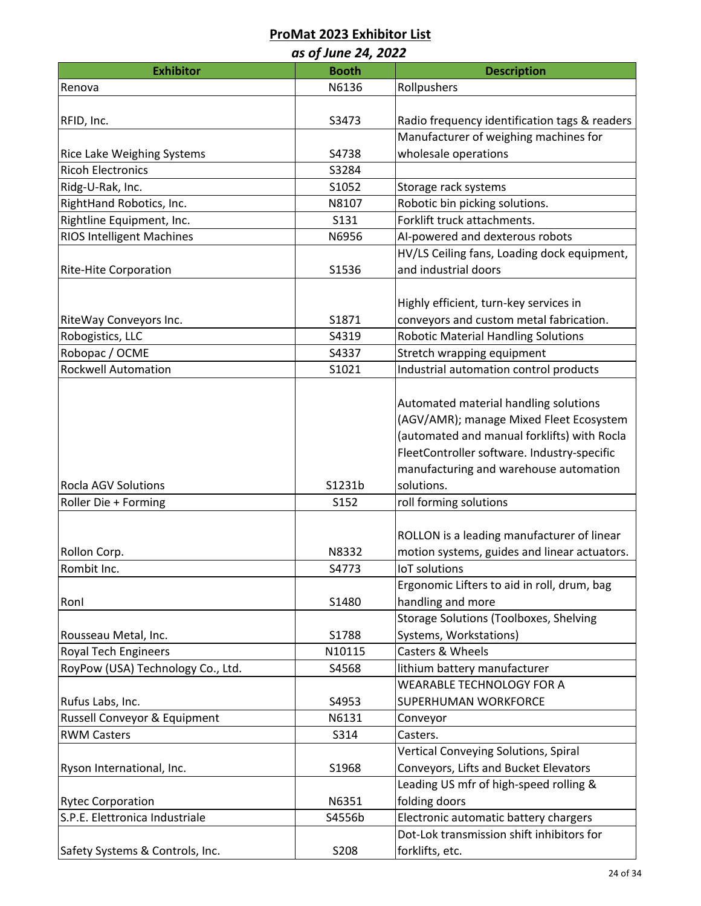| as of June 24, 2022               |              |                                               |  |
|-----------------------------------|--------------|-----------------------------------------------|--|
| <b>Exhibitor</b>                  | <b>Booth</b> | <b>Description</b>                            |  |
| Renova                            | N6136        | Rollpushers                                   |  |
|                                   |              |                                               |  |
| RFID, Inc.                        | S3473        | Radio frequency identification tags & readers |  |
|                                   |              | Manufacturer of weighing machines for         |  |
| Rice Lake Weighing Systems        | S4738        | wholesale operations                          |  |
| <b>Ricoh Electronics</b>          | S3284        |                                               |  |
| Ridg-U-Rak, Inc.                  | S1052        | Storage rack systems                          |  |
| RightHand Robotics, Inc.          | N8107        | Robotic bin picking solutions.                |  |
| Rightline Equipment, Inc.         | S131         | Forklift truck attachments.                   |  |
| <b>RIOS Intelligent Machines</b>  | N6956        | Al-powered and dexterous robots               |  |
|                                   |              | HV/LS Ceiling fans, Loading dock equipment,   |  |
| <b>Rite-Hite Corporation</b>      | S1536        | and industrial doors                          |  |
|                                   |              |                                               |  |
|                                   |              | Highly efficient, turn-key services in        |  |
| RiteWay Conveyors Inc.            | S1871        | conveyors and custom metal fabrication.       |  |
| Robogistics, LLC                  | S4319        | <b>Robotic Material Handling Solutions</b>    |  |
| Robopac / OCME                    | S4337        | Stretch wrapping equipment                    |  |
| <b>Rockwell Automation</b>        | S1021        | Industrial automation control products        |  |
|                                   |              |                                               |  |
|                                   |              | Automated material handling solutions         |  |
|                                   |              | (AGV/AMR); manage Mixed Fleet Ecosystem       |  |
|                                   |              | (automated and manual forklifts) with Rocla   |  |
|                                   |              | FleetController software. Industry-specific   |  |
|                                   |              | manufacturing and warehouse automation        |  |
| <b>Rocla AGV Solutions</b>        | S1231b       | solutions.                                    |  |
| Roller Die + Forming              | S152         | roll forming solutions                        |  |
|                                   |              |                                               |  |
|                                   |              | ROLLON is a leading manufacturer of linear    |  |
| Rollon Corp.                      | N8332        | motion systems, guides and linear actuators.  |  |
| Rombit Inc.                       | S4773        | IoT solutions                                 |  |
|                                   |              | Ergonomic Lifters to aid in roll, drum, bag   |  |
| Ronl                              | S1480        | handling and more                             |  |
|                                   |              | <b>Storage Solutions (Toolboxes, Shelving</b> |  |
| Rousseau Metal, Inc.              | S1788        | Systems, Workstations)                        |  |
| <b>Royal Tech Engineers</b>       | N10115       | Casters & Wheels                              |  |
| RoyPow (USA) Technology Co., Ltd. | S4568        | lithium battery manufacturer                  |  |
|                                   |              | <b>WEARABLE TECHNOLOGY FOR A</b>              |  |
| Rufus Labs, Inc.                  | S4953        | SUPERHUMAN WORKFORCE                          |  |
| Russell Conveyor & Equipment      | N6131        | Conveyor                                      |  |
| <b>RWM Casters</b>                | S314         | Casters.                                      |  |
|                                   |              | Vertical Conveying Solutions, Spiral          |  |
| Ryson International, Inc.         | S1968        | Conveyors, Lifts and Bucket Elevators         |  |
|                                   |              | Leading US mfr of high-speed rolling &        |  |
| <b>Rytec Corporation</b>          | N6351        | folding doors                                 |  |
| S.P.E. Elettronica Industriale    | S4556b       | Electronic automatic battery chargers         |  |
|                                   |              | Dot-Lok transmission shift inhibitors for     |  |
| Safety Systems & Controls, Inc.   | S208         | forklifts, etc.                               |  |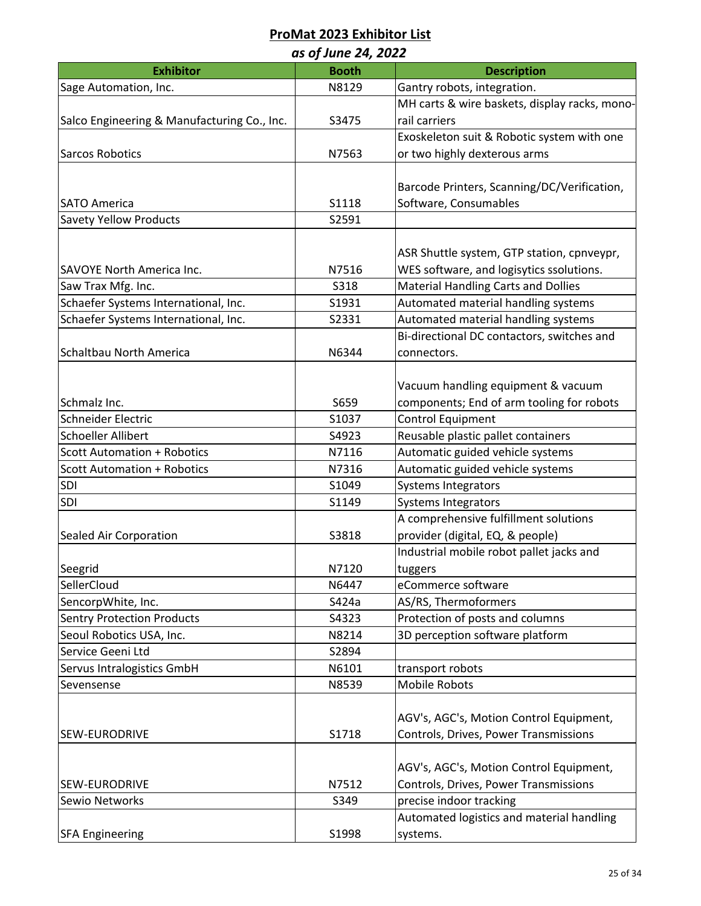| as of June 24, 2022                         |              |                                               |  |
|---------------------------------------------|--------------|-----------------------------------------------|--|
| <b>Exhibitor</b>                            | <b>Booth</b> | <b>Description</b>                            |  |
| Sage Automation, Inc.                       | N8129        | Gantry robots, integration.                   |  |
|                                             |              | MH carts & wire baskets, display racks, mono- |  |
| Salco Engineering & Manufacturing Co., Inc. | S3475        | rail carriers                                 |  |
|                                             |              | Exoskeleton suit & Robotic system with one    |  |
| Sarcos Robotics                             | N7563        | or two highly dexterous arms                  |  |
|                                             |              | Barcode Printers, Scanning/DC/Verification,   |  |
| <b>SATO America</b>                         | S1118        | Software, Consumables                         |  |
| <b>Savety Yellow Products</b>               | S2591        |                                               |  |
|                                             |              |                                               |  |
|                                             |              | ASR Shuttle system, GTP station, cpnveypr,    |  |
| <b>SAVOYE North America Inc.</b>            | N7516        | WES software, and logisytics ssolutions.      |  |
| Saw Trax Mfg. Inc.                          | S318         | <b>Material Handling Carts and Dollies</b>    |  |
| Schaefer Systems International, Inc.        | S1931        | Automated material handling systems           |  |
| Schaefer Systems International, Inc.        | S2331        | Automated material handling systems           |  |
|                                             |              | Bi-directional DC contactors, switches and    |  |
| Schaltbau North America                     | N6344        | connectors.                                   |  |
|                                             |              |                                               |  |
|                                             |              | Vacuum handling equipment & vacuum            |  |
| Schmalz Inc.                                | S659         | components; End of arm tooling for robots     |  |
| Schneider Electric                          | S1037        | <b>Control Equipment</b>                      |  |
| <b>Schoeller Allibert</b>                   | S4923        | Reusable plastic pallet containers            |  |
| <b>Scott Automation + Robotics</b>          | N7116        | Automatic guided vehicle systems              |  |
| <b>Scott Automation + Robotics</b>          | N7316        | Automatic guided vehicle systems              |  |
| SDI                                         | S1049        | Systems Integrators                           |  |
| SDI                                         | S1149        | Systems Integrators                           |  |
|                                             |              | A comprehensive fulfillment solutions         |  |
| Sealed Air Corporation                      | S3818        | provider (digital, EQ, & people)              |  |
|                                             |              | Industrial mobile robot pallet jacks and      |  |
| Seegrid                                     | N7120        | tuggers                                       |  |
| SellerCloud                                 | N6447        | eCommerce software                            |  |
| SencorpWhite, Inc.                          | S424a        | AS/RS, Thermoformers                          |  |
| <b>Sentry Protection Products</b>           | S4323        | Protection of posts and columns               |  |
| Seoul Robotics USA, Inc.                    | N8214        | 3D perception software platform               |  |
| Service Geeni Ltd                           | S2894        |                                               |  |
| Servus Intralogistics GmbH                  | N6101        | transport robots                              |  |
| Sevensense                                  | N8539        | Mobile Robots                                 |  |
|                                             |              |                                               |  |
|                                             |              | AGV's, AGC's, Motion Control Equipment,       |  |
| <b>SEW-EURODRIVE</b>                        | S1718        | Controls, Drives, Power Transmissions         |  |
|                                             |              |                                               |  |
|                                             |              | AGV's, AGC's, Motion Control Equipment,       |  |
| <b>SEW-EURODRIVE</b>                        | N7512        | Controls, Drives, Power Transmissions         |  |
| Sewio Networks                              | S349         | precise indoor tracking                       |  |
|                                             |              | Automated logistics and material handling     |  |
| <b>SFA Engineering</b>                      | S1998        | systems.                                      |  |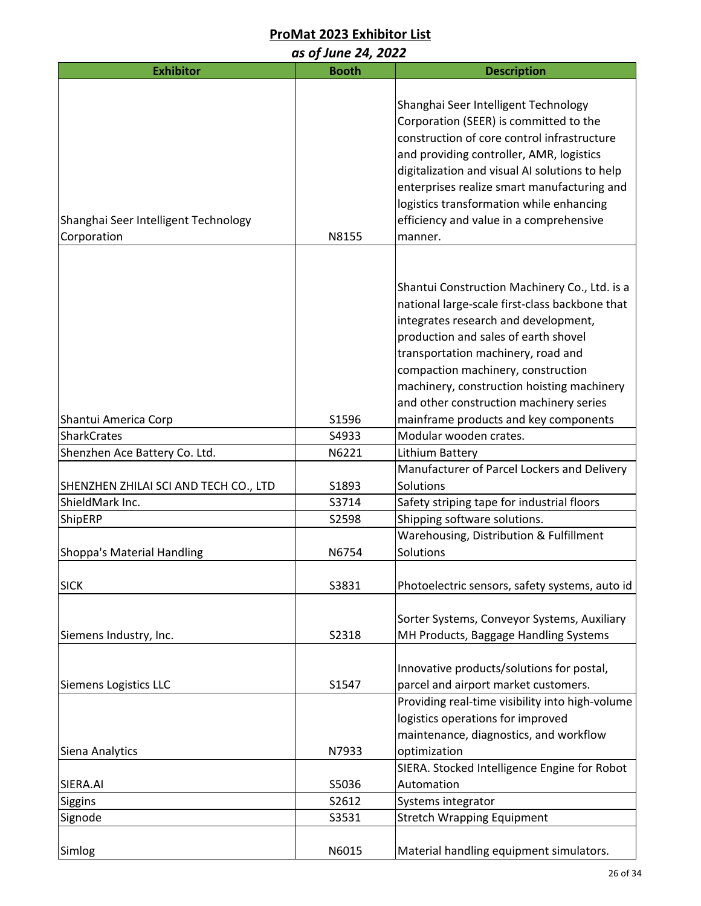| as of June 24, 2022                                 |                |                                                                                                                                                                                                                                                                                                                                                                                               |  |
|-----------------------------------------------------|----------------|-----------------------------------------------------------------------------------------------------------------------------------------------------------------------------------------------------------------------------------------------------------------------------------------------------------------------------------------------------------------------------------------------|--|
| <b>Exhibitor</b>                                    | <b>Booth</b>   | <b>Description</b>                                                                                                                                                                                                                                                                                                                                                                            |  |
| Shanghai Seer Intelligent Technology<br>Corporation | N8155          | Shanghai Seer Intelligent Technology<br>Corporation (SEER) is committed to the<br>construction of core control infrastructure<br>and providing controller, AMR, logistics<br>digitalization and visual AI solutions to help<br>enterprises realize smart manufacturing and<br>logistics transformation while enhancing<br>efficiency and value in a comprehensive<br>manner.                  |  |
| Shantui America Corp                                | S1596          | Shantui Construction Machinery Co., Ltd. is a<br>national large-scale first-class backbone that<br>integrates research and development,<br>production and sales of earth shovel<br>transportation machinery, road and<br>compaction machinery, construction<br>machinery, construction hoisting machinery<br>and other construction machinery series<br>mainframe products and key components |  |
| <b>SharkCrates</b>                                  | S4933          | Modular wooden crates.                                                                                                                                                                                                                                                                                                                                                                        |  |
| Shenzhen Ace Battery Co. Ltd.                       | N6221          | Lithium Battery                                                                                                                                                                                                                                                                                                                                                                               |  |
| SHENZHEN ZHILAI SCI AND TECH CO., LTD               | S1893          | Manufacturer of Parcel Lockers and Delivery<br>Solutions                                                                                                                                                                                                                                                                                                                                      |  |
| ShieldMark Inc.                                     | S3714          | Safety striping tape for industrial floors                                                                                                                                                                                                                                                                                                                                                    |  |
| ShipERP<br>Shoppa's Material Handling               | S2598<br>N6754 | Shipping software solutions.<br>Warehousing, Distribution & Fulfillment<br>Solutions                                                                                                                                                                                                                                                                                                          |  |
| <b>SICK</b>                                         | S3831          | Photoelectric sensors, safety systems, auto id                                                                                                                                                                                                                                                                                                                                                |  |
| Siemens Industry, Inc.                              | S2318          | Sorter Systems, Conveyor Systems, Auxiliary<br>MH Products, Baggage Handling Systems                                                                                                                                                                                                                                                                                                          |  |
| <b>Siemens Logistics LLC</b>                        | S1547          | Innovative products/solutions for postal,<br>parcel and airport market customers.<br>Providing real-time visibility into high-volume<br>logistics operations for improved<br>maintenance, diagnostics, and workflow                                                                                                                                                                           |  |
| Siena Analytics                                     | N7933          | optimization<br>SIERA. Stocked Intelligence Engine for Robot                                                                                                                                                                                                                                                                                                                                  |  |
| SIERA.AI                                            | S5036          | Automation                                                                                                                                                                                                                                                                                                                                                                                    |  |
| Siggins                                             | S2612          | Systems integrator                                                                                                                                                                                                                                                                                                                                                                            |  |
| Signode                                             | S3531          | <b>Stretch Wrapping Equipment</b>                                                                                                                                                                                                                                                                                                                                                             |  |
|                                                     |                |                                                                                                                                                                                                                                                                                                                                                                                               |  |
| Simlog                                              | N6015          | Material handling equipment simulators.                                                                                                                                                                                                                                                                                                                                                       |  |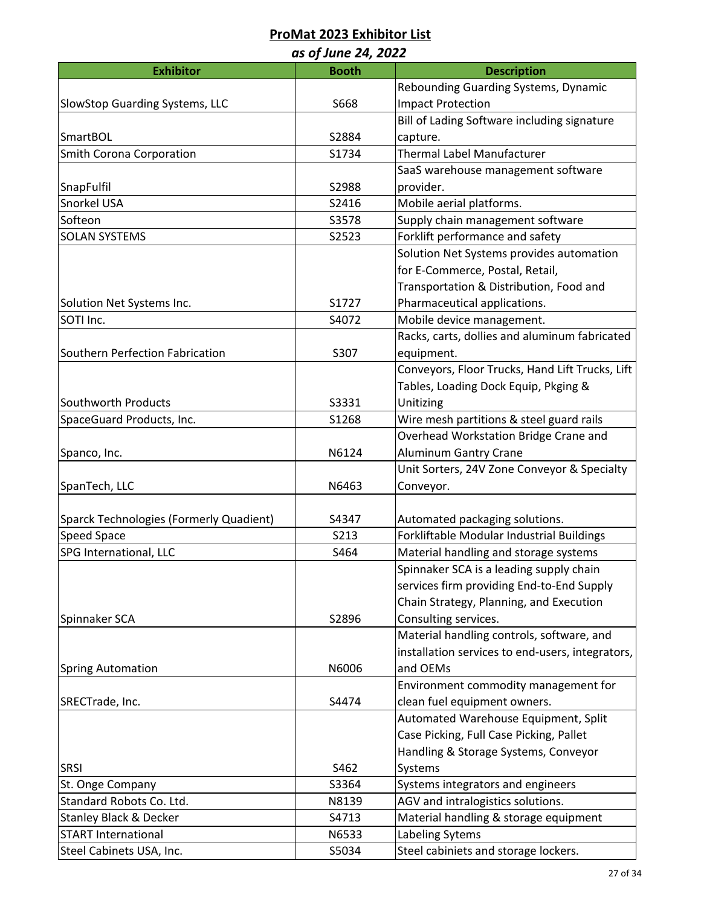| as of June 24, 2022                     |              |                                                  |  |
|-----------------------------------------|--------------|--------------------------------------------------|--|
| <b>Exhibitor</b>                        | <b>Booth</b> | <b>Description</b>                               |  |
|                                         |              | Rebounding Guarding Systems, Dynamic             |  |
| <b>SlowStop Guarding Systems, LLC</b>   | S668         | <b>Impact Protection</b>                         |  |
|                                         |              | Bill of Lading Software including signature      |  |
| <b>SmartBOL</b>                         | S2884        | capture.                                         |  |
| Smith Corona Corporation                | S1734        | <b>Thermal Label Manufacturer</b>                |  |
|                                         |              | SaaS warehouse management software               |  |
| SnapFulfil                              | S2988        | provider.                                        |  |
| Snorkel USA                             | S2416        | Mobile aerial platforms.                         |  |
| Softeon                                 | S3578        | Supply chain management software                 |  |
| <b>SOLAN SYSTEMS</b>                    | S2523        | Forklift performance and safety                  |  |
|                                         |              | Solution Net Systems provides automation         |  |
|                                         |              | for E-Commerce, Postal, Retail,                  |  |
|                                         |              | Transportation & Distribution, Food and          |  |
| Solution Net Systems Inc.               | S1727        | Pharmaceutical applications.                     |  |
| SOTI Inc.                               | S4072        | Mobile device management.                        |  |
|                                         |              | Racks, carts, dollies and aluminum fabricated    |  |
| Southern Perfection Fabrication         | S307         | equipment.                                       |  |
|                                         |              | Conveyors, Floor Trucks, Hand Lift Trucks, Lift  |  |
|                                         |              | Tables, Loading Dock Equip, Pkging &             |  |
| Southworth Products                     | S3331        | Unitizing                                        |  |
| SpaceGuard Products, Inc.               | S1268        | Wire mesh partitions & steel guard rails         |  |
|                                         |              | Overhead Workstation Bridge Crane and            |  |
| Spanco, Inc.                            | N6124        | <b>Aluminum Gantry Crane</b>                     |  |
|                                         |              | Unit Sorters, 24V Zone Conveyor & Specialty      |  |
| SpanTech, LLC                           | N6463        | Conveyor.                                        |  |
|                                         |              |                                                  |  |
| Sparck Technologies (Formerly Quadient) | S4347        | Automated packaging solutions.                   |  |
| <b>Speed Space</b>                      | S213         | Forkliftable Modular Industrial Buildings        |  |
| SPG International, LLC                  | S464         | Material handling and storage systems            |  |
|                                         |              | Spinnaker SCA is a leading supply chain          |  |
|                                         |              | services firm providing End-to-End Supply        |  |
|                                         |              | Chain Strategy, Planning, and Execution          |  |
| Spinnaker SCA                           | S2896        | Consulting services.                             |  |
|                                         |              | Material handling controls, software, and        |  |
|                                         |              | installation services to end-users, integrators, |  |
| <b>Spring Automation</b>                | N6006        | and OEMs                                         |  |
|                                         |              | Environment commodity management for             |  |
| SRECTrade, Inc.                         | S4474        | clean fuel equipment owners.                     |  |
|                                         |              | Automated Warehouse Equipment, Split             |  |
|                                         |              | Case Picking, Full Case Picking, Pallet          |  |
|                                         |              | Handling & Storage Systems, Conveyor             |  |
| <b>SRSI</b>                             | S462         | Systems                                          |  |
| St. Onge Company                        | S3364        | Systems integrators and engineers                |  |
| Standard Robots Co. Ltd.                | N8139        | AGV and intralogistics solutions.                |  |
| <b>Stanley Black &amp; Decker</b>       | S4713        | Material handling & storage equipment            |  |
| <b>START International</b>              | N6533        | Labeling Sytems                                  |  |
| Steel Cabinets USA, Inc.                | S5034        | Steel cabiniets and storage lockers.             |  |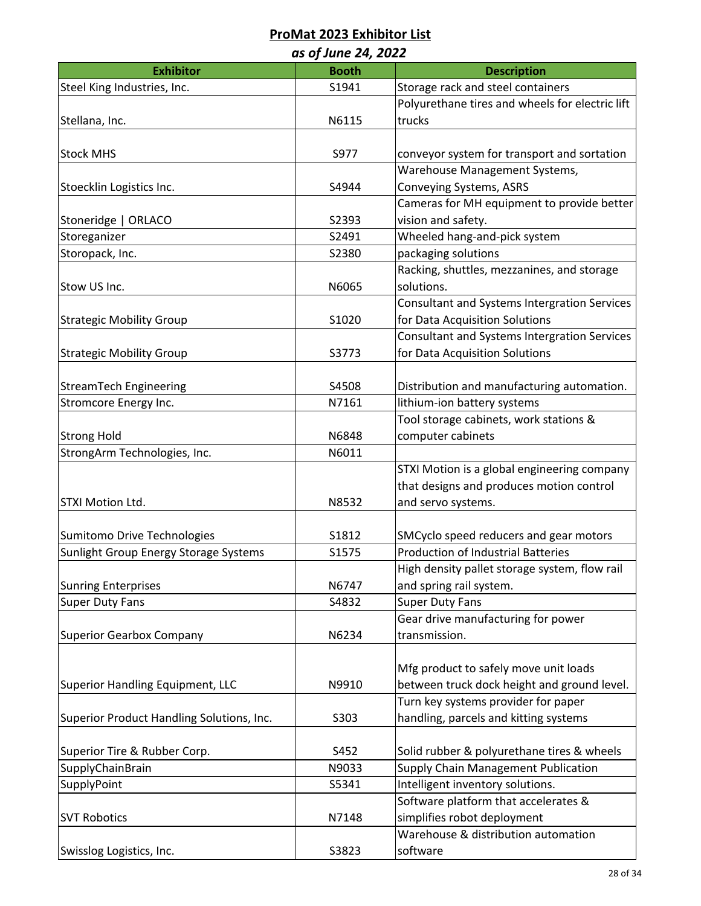| as of June 24, 2022                       |              |                                                    |  |
|-------------------------------------------|--------------|----------------------------------------------------|--|
| <b>Exhibitor</b>                          | <b>Booth</b> | <b>Description</b>                                 |  |
| Steel King Industries, Inc.               | S1941        | Storage rack and steel containers                  |  |
|                                           |              | Polyurethane tires and wheels for electric lift    |  |
| Stellana, Inc.                            | N6115        | trucks                                             |  |
| <b>Stock MHS</b>                          |              |                                                    |  |
|                                           | S977         | conveyor system for transport and sortation        |  |
|                                           |              | Warehouse Management Systems,                      |  |
| Stoecklin Logistics Inc.                  | S4944        | <b>Conveying Systems, ASRS</b>                     |  |
| Stoneridge   ORLACO                       | S2393        | Cameras for MH equipment to provide better         |  |
|                                           | S2491        | vision and safety.<br>Wheeled hang-and-pick system |  |
| Storeganizer                              |              |                                                    |  |
| Storopack, Inc.                           | S2380        | packaging solutions                                |  |
|                                           |              | Racking, shuttles, mezzanines, and storage         |  |
| Stow US Inc.                              | N6065        | solutions.                                         |  |
|                                           |              | Consultant and Systems Intergration Services       |  |
| <b>Strategic Mobility Group</b>           | S1020        | for Data Acquisition Solutions                     |  |
|                                           |              | Consultant and Systems Intergration Services       |  |
| <b>Strategic Mobility Group</b>           | S3773        | for Data Acquisition Solutions                     |  |
|                                           |              |                                                    |  |
| <b>StreamTech Engineering</b>             | S4508        | Distribution and manufacturing automation.         |  |
| Stromcore Energy Inc.                     | N7161        | lithium-ion battery systems                        |  |
|                                           |              | Tool storage cabinets, work stations &             |  |
| <b>Strong Hold</b>                        | N6848        | computer cabinets                                  |  |
| StrongArm Technologies, Inc.              | N6011        |                                                    |  |
|                                           |              | STXI Motion is a global engineering company        |  |
|                                           |              | that designs and produces motion control           |  |
| STXI Motion Ltd.                          | N8532        | and servo systems.                                 |  |
|                                           |              |                                                    |  |
| Sumitomo Drive Technologies               | S1812        | SMCyclo speed reducers and gear motors             |  |
| Sunlight Group Energy Storage Systems     | S1575        | Production of Industrial Batteries                 |  |
|                                           |              | High density pallet storage system, flow rail      |  |
| <b>Sunring Enterprises</b>                | N6747        | and spring rail system.                            |  |
| <b>Super Duty Fans</b>                    | S4832        | <b>Super Duty Fans</b>                             |  |
|                                           |              | Gear drive manufacturing for power                 |  |
| <b>Superior Gearbox Company</b>           | N6234        | transmission.                                      |  |
|                                           |              |                                                    |  |
|                                           |              | Mfg product to safely move unit loads              |  |
| Superior Handling Equipment, LLC          | N9910        | between truck dock height and ground level.        |  |
|                                           |              | Turn key systems provider for paper                |  |
| Superior Product Handling Solutions, Inc. | S303         | handling, parcels and kitting systems              |  |
| Superior Tire & Rubber Corp.              | S452         | Solid rubber & polyurethane tires & wheels         |  |
| SupplyChainBrain                          | N9033        | Supply Chain Management Publication                |  |
| SupplyPoint                               | S5341        | Intelligent inventory solutions.                   |  |
|                                           |              | Software platform that accelerates &               |  |
| <b>SVT Robotics</b>                       | N7148        | simplifies robot deployment                        |  |
|                                           |              | Warehouse & distribution automation                |  |
| Swisslog Logistics, Inc.                  | S3823        | software                                           |  |
|                                           |              |                                                    |  |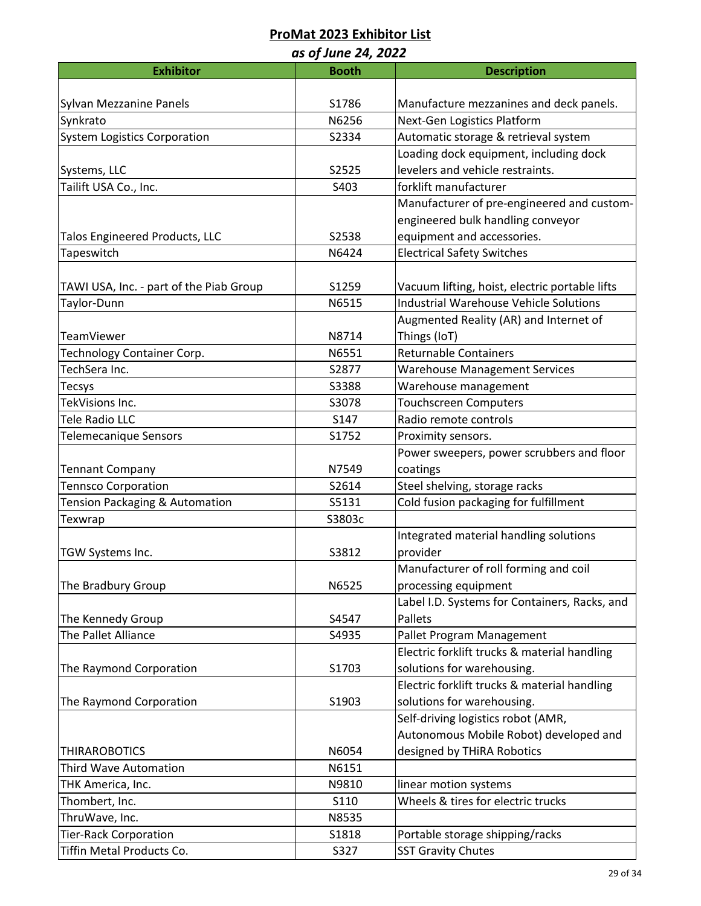| us of June 24, 2022                     |                |                                                                            |  |
|-----------------------------------------|----------------|----------------------------------------------------------------------------|--|
| <b>Exhibitor</b>                        | <b>Booth</b>   | <b>Description</b>                                                         |  |
|                                         |                |                                                                            |  |
| Sylvan Mezzanine Panels                 | S1786<br>N6256 | Manufacture mezzanines and deck panels.<br>Next-Gen Logistics Platform     |  |
| Synkrato                                |                |                                                                            |  |
| <b>System Logistics Corporation</b>     | S2334          | Automatic storage & retrieval system                                       |  |
|                                         |                | Loading dock equipment, including dock<br>levelers and vehicle restraints. |  |
| Systems, LLC<br>Tailift USA Co., Inc.   | S2525<br>S403  | forklift manufacturer                                                      |  |
|                                         |                | Manufacturer of pre-engineered and custom-                                 |  |
|                                         |                | engineered bulk handling conveyor                                          |  |
|                                         | S2538          | equipment and accessories.                                                 |  |
| <b>Talos Engineered Products, LLC</b>   |                | <b>Electrical Safety Switches</b>                                          |  |
| Tapeswitch                              | N6424          |                                                                            |  |
| TAWI USA, Inc. - part of the Piab Group | S1259          | Vacuum lifting, hoist, electric portable lifts                             |  |
| Taylor-Dunn                             | N6515          | <b>Industrial Warehouse Vehicle Solutions</b>                              |  |
|                                         |                | Augmented Reality (AR) and Internet of                                     |  |
| TeamViewer                              | N8714          | Things (IoT)                                                               |  |
| Technology Container Corp.              | N6551          | <b>Returnable Containers</b>                                               |  |
| TechSera Inc.                           | S2877          | <b>Warehouse Management Services</b>                                       |  |
| <b>Tecsys</b>                           | S3388          | Warehouse management                                                       |  |
| TekVisions Inc.                         | S3078          | <b>Touchscreen Computers</b>                                               |  |
| Tele Radio LLC                          | S147           | Radio remote controls                                                      |  |
| <b>Telemecanique Sensors</b>            | S1752          | Proximity sensors.                                                         |  |
|                                         |                | Power sweepers, power scrubbers and floor                                  |  |
| <b>Tennant Company</b>                  | N7549          | coatings                                                                   |  |
| <b>Tennsco Corporation</b>              | S2614          | Steel shelving, storage racks                                              |  |
| Tension Packaging & Automation          | S5131          | Cold fusion packaging for fulfillment                                      |  |
| Texwrap                                 | S3803c         |                                                                            |  |
|                                         |                | Integrated material handling solutions                                     |  |
| TGW Systems Inc.                        | S3812          | provider                                                                   |  |
|                                         |                | Manufacturer of roll forming and coil                                      |  |
| The Bradbury Group                      | N6525          | processing equipment                                                       |  |
|                                         |                | Label I.D. Systems for Containers, Racks, and                              |  |
| The Kennedy Group                       | S4547          | Pallets                                                                    |  |
| The Pallet Alliance                     | S4935          | Pallet Program Management                                                  |  |
|                                         |                | Electric forklift trucks & material handling                               |  |
| The Raymond Corporation                 | S1703          | solutions for warehousing.                                                 |  |
|                                         |                | Electric forklift trucks & material handling                               |  |
| The Raymond Corporation                 | S1903          | solutions for warehousing.                                                 |  |
|                                         |                | Self-driving logistics robot (AMR,                                         |  |
|                                         |                | Autonomous Mobile Robot) developed and                                     |  |
| <b>THIRAROBOTICS</b>                    | N6054          | designed by THiRA Robotics                                                 |  |
| <b>Third Wave Automation</b>            | N6151          |                                                                            |  |
| THK America, Inc.                       | N9810          | linear motion systems                                                      |  |
| Thombert, Inc.                          | S110           | Wheels & tires for electric trucks                                         |  |
| ThruWave, Inc.                          | N8535          |                                                                            |  |
| <b>Tier-Rack Corporation</b>            | S1818          | Portable storage shipping/racks                                            |  |
| Tiffin Metal Products Co.               | S327           | <b>SST Gravity Chutes</b>                                                  |  |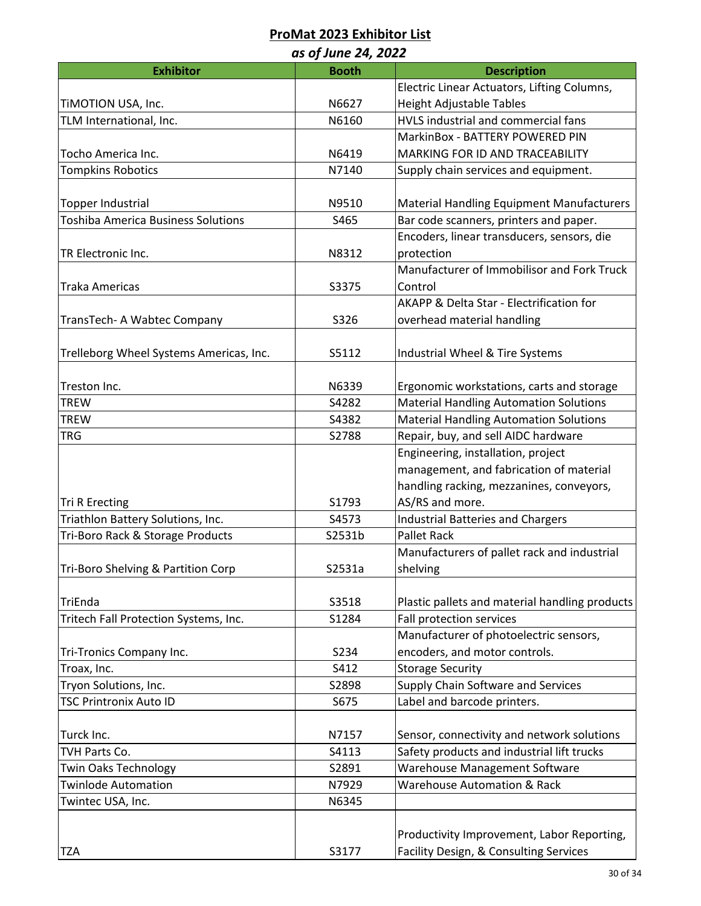| as of June 24, 2022                       |              |                                                  |  |
|-------------------------------------------|--------------|--------------------------------------------------|--|
| <b>Exhibitor</b>                          | <b>Booth</b> | <b>Description</b>                               |  |
|                                           |              | Electric Linear Actuators, Lifting Columns,      |  |
| TIMOTION USA, Inc.                        | N6627        | <b>Height Adjustable Tables</b>                  |  |
| TLM International, Inc.                   | N6160        | HVLS industrial and commercial fans              |  |
|                                           |              | MarkinBox - BATTERY POWERED PIN                  |  |
| Tocho America Inc.                        | N6419        | MARKING FOR ID AND TRACEABILITY                  |  |
| <b>Tompkins Robotics</b>                  | N7140        | Supply chain services and equipment.             |  |
|                                           |              |                                                  |  |
| Topper Industrial                         | N9510        | <b>Material Handling Equipment Manufacturers</b> |  |
| <b>Toshiba America Business Solutions</b> | S465         | Bar code scanners, printers and paper.           |  |
|                                           |              | Encoders, linear transducers, sensors, die       |  |
| TR Electronic Inc.                        | N8312        | protection                                       |  |
|                                           |              | Manufacturer of Immobilisor and Fork Truck       |  |
| Traka Americas                            | S3375        | Control                                          |  |
|                                           |              | AKAPP & Delta Star - Electrification for         |  |
| TransTech- A Wabtec Company               | S326         | overhead material handling                       |  |
|                                           |              |                                                  |  |
| Trelleborg Wheel Systems Americas, Inc.   | S5112        | Industrial Wheel & Tire Systems                  |  |
|                                           |              |                                                  |  |
| Treston Inc.                              | N6339        | Ergonomic workstations, carts and storage        |  |
| <b>TREW</b>                               | S4282        | <b>Material Handling Automation Solutions</b>    |  |
| <b>TREW</b>                               | S4382        | <b>Material Handling Automation Solutions</b>    |  |
| <b>TRG</b>                                | S2788        | Repair, buy, and sell AIDC hardware              |  |
|                                           |              | Engineering, installation, project               |  |
|                                           |              | management, and fabrication of material          |  |
|                                           |              | handling racking, mezzanines, conveyors,         |  |
| <b>Tri R Erecting</b>                     | S1793        | AS/RS and more.                                  |  |
| Triathlon Battery Solutions, Inc.         | S4573        | <b>Industrial Batteries and Chargers</b>         |  |
| Tri-Boro Rack & Storage Products          | S2531b       | <b>Pallet Rack</b>                               |  |
|                                           |              | Manufacturers of pallet rack and industrial      |  |
| Tri-Boro Shelving & Partition Corp        | S2531a       | shelving                                         |  |
|                                           |              |                                                  |  |
| TriEnda                                   | S3518        | Plastic pallets and material handling products   |  |
| Tritech Fall Protection Systems, Inc.     | S1284        | Fall protection services                         |  |
|                                           |              | Manufacturer of photoelectric sensors,           |  |
| Tri-Tronics Company Inc.                  | S234         | encoders, and motor controls.                    |  |
| Troax, Inc.                               | S412         | <b>Storage Security</b>                          |  |
| Tryon Solutions, Inc.                     | S2898        | Supply Chain Software and Services               |  |
| <b>TSC Printronix Auto ID</b>             | S675         | Label and barcode printers.                      |  |
|                                           |              |                                                  |  |
| Turck Inc.                                | N7157        | Sensor, connectivity and network solutions       |  |
| TVH Parts Co.                             | S4113        | Safety products and industrial lift trucks       |  |
| <b>Twin Oaks Technology</b>               | S2891        | <b>Warehouse Management Software</b>             |  |
| <b>Twinlode Automation</b>                | N7929        | Warehouse Automation & Rack                      |  |
| Twintec USA, Inc.                         | N6345        |                                                  |  |
|                                           |              |                                                  |  |
|                                           |              | Productivity Improvement, Labor Reporting,       |  |
| TZA                                       | S3177        | Facility Design, & Consulting Services           |  |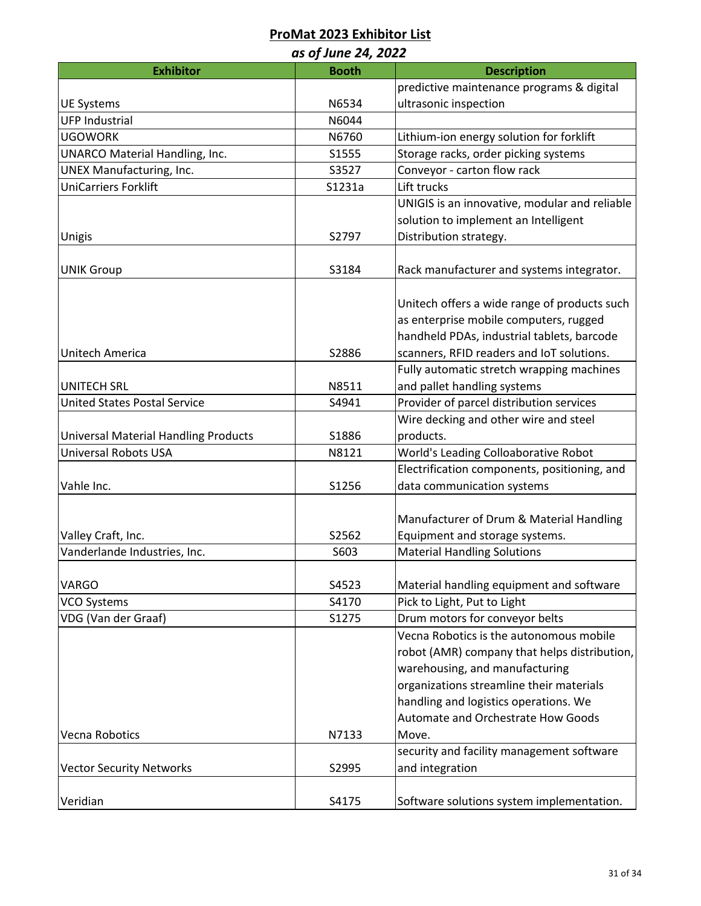| as of June 24, 2022                         |              |                                               |  |
|---------------------------------------------|--------------|-----------------------------------------------|--|
| <b>Exhibitor</b>                            | <b>Booth</b> | <b>Description</b>                            |  |
|                                             |              | predictive maintenance programs & digital     |  |
| <b>UE Systems</b>                           | N6534        | ultrasonic inspection                         |  |
| <b>UFP Industrial</b>                       | N6044        |                                               |  |
| <b>UGOWORK</b>                              | N6760        | Lithium-ion energy solution for forklift      |  |
| <b>UNARCO Material Handling, Inc.</b>       | S1555        | Storage racks, order picking systems          |  |
| <b>UNEX Manufacturing, Inc.</b>             | S3527        | Conveyor - carton flow rack                   |  |
| <b>UniCarriers Forklift</b>                 | S1231a       | Lift trucks                                   |  |
|                                             |              | UNIGIS is an innovative, modular and reliable |  |
|                                             |              | solution to implement an Intelligent          |  |
| Unigis                                      | S2797        | Distribution strategy.                        |  |
| <b>UNIK Group</b>                           | S3184        | Rack manufacturer and systems integrator.     |  |
|                                             |              |                                               |  |
|                                             |              | Unitech offers a wide range of products such  |  |
|                                             |              | as enterprise mobile computers, rugged        |  |
|                                             |              | handheld PDAs, industrial tablets, barcode    |  |
| Unitech America                             | S2886        | scanners, RFID readers and IoT solutions.     |  |
|                                             |              | Fully automatic stretch wrapping machines     |  |
| <b>UNITECH SRL</b>                          | N8511        | and pallet handling systems                   |  |
| <b>United States Postal Service</b>         | S4941        | Provider of parcel distribution services      |  |
|                                             |              | Wire decking and other wire and steel         |  |
| <b>Universal Material Handling Products</b> | S1886        | products.                                     |  |
| <b>Universal Robots USA</b>                 | N8121        | World's Leading Colloaborative Robot          |  |
|                                             |              | Electrification components, positioning, and  |  |
| Vahle Inc.                                  | S1256        | data communication systems                    |  |
|                                             |              |                                               |  |
|                                             |              | Manufacturer of Drum & Material Handling      |  |
| Valley Craft, Inc.                          | S2562        | Equipment and storage systems.                |  |
| Vanderlande Industries, Inc.                | S603         | <b>Material Handling Solutions</b>            |  |
| <b>VARGO</b>                                | S4523        | Material handling equipment and software      |  |
| <b>VCO Systems</b>                          | S4170        | Pick to Light, Put to Light                   |  |
| VDG (Van der Graaf)                         | S1275        | Drum motors for conveyor belts                |  |
|                                             |              | Vecna Robotics is the autonomous mobile       |  |
|                                             |              | robot (AMR) company that helps distribution,  |  |
|                                             |              |                                               |  |
|                                             |              | warehousing, and manufacturing                |  |
|                                             |              | organizations streamline their materials      |  |
|                                             |              | handling and logistics operations. We         |  |
|                                             |              | Automate and Orchestrate How Goods            |  |
| Vecna Robotics                              | N7133        | Move.                                         |  |
|                                             |              | security and facility management software     |  |
| <b>Vector Security Networks</b>             | S2995        | and integration                               |  |
|                                             |              |                                               |  |
| Veridian                                    | S4175        | Software solutions system implementation.     |  |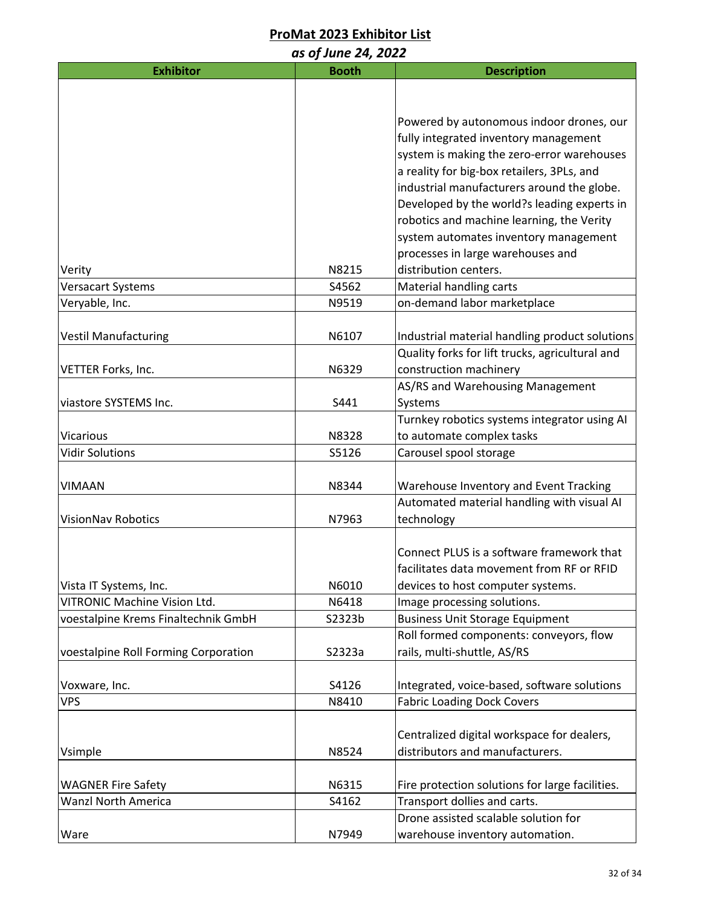| as of June 24, 2022                  |              |                                                                                        |  |
|--------------------------------------|--------------|----------------------------------------------------------------------------------------|--|
| <b>Exhibitor</b>                     | <b>Booth</b> | <b>Description</b>                                                                     |  |
|                                      |              |                                                                                        |  |
|                                      |              |                                                                                        |  |
|                                      |              | Powered by autonomous indoor drones, our                                               |  |
|                                      |              | fully integrated inventory management                                                  |  |
|                                      |              | system is making the zero-error warehouses                                             |  |
|                                      |              | a reality for big-box retailers, 3PLs, and                                             |  |
|                                      |              | industrial manufacturers around the globe.                                             |  |
|                                      |              | Developed by the world?s leading experts in                                            |  |
|                                      |              | robotics and machine learning, the Verity                                              |  |
|                                      |              | system automates inventory management                                                  |  |
|                                      |              | processes in large warehouses and                                                      |  |
| Verity                               | N8215        | distribution centers.                                                                  |  |
| Versacart Systems                    | S4562        | Material handling carts                                                                |  |
| Veryable, Inc.                       | N9519        | on-demand labor marketplace                                                            |  |
|                                      |              |                                                                                        |  |
| <b>Vestil Manufacturing</b>          | N6107        | Industrial material handling product solutions                                         |  |
|                                      |              | Quality forks for lift trucks, agricultural and                                        |  |
| VETTER Forks, Inc.                   | N6329        | construction machinery                                                                 |  |
|                                      |              | AS/RS and Warehousing Management                                                       |  |
| viastore SYSTEMS Inc.                | S441         | Systems                                                                                |  |
|                                      |              | Turnkey robotics systems integrator using AI                                           |  |
| <b>Vicarious</b>                     | N8328        | to automate complex tasks                                                              |  |
| <b>Vidir Solutions</b>               | S5126        | Carousel spool storage                                                                 |  |
|                                      |              |                                                                                        |  |
| <b>VIMAAN</b>                        | N8344        | Warehouse Inventory and Event Tracking                                                 |  |
|                                      |              | Automated material handling with visual AI                                             |  |
| <b>VisionNav Robotics</b>            | N7963        | technology                                                                             |  |
|                                      |              |                                                                                        |  |
|                                      |              | Connect PLUS is a software framework that<br>facilitates data movement from RF or RFID |  |
| Vista IT Systems, Inc.               | N6010        | devices to host computer systems.                                                      |  |
| <b>VITRONIC Machine Vision Ltd.</b>  | N6418        | Image processing solutions.                                                            |  |
| voestalpine Krems Finaltechnik GmbH  | S2323b       | <b>Business Unit Storage Equipment</b>                                                 |  |
|                                      |              | Roll formed components: conveyors, flow                                                |  |
| voestalpine Roll Forming Corporation | S2323a       | rails, multi-shuttle, AS/RS                                                            |  |
|                                      |              |                                                                                        |  |
| Voxware, Inc.                        | S4126        | Integrated, voice-based, software solutions                                            |  |
| <b>VPS</b>                           | N8410        | <b>Fabric Loading Dock Covers</b>                                                      |  |
|                                      |              |                                                                                        |  |
|                                      |              | Centralized digital workspace for dealers,                                             |  |
| Vsimple                              | N8524        | distributors and manufacturers.                                                        |  |
|                                      |              |                                                                                        |  |
| <b>WAGNER Fire Safety</b>            | N6315        | Fire protection solutions for large facilities.                                        |  |
| <b>Wanzl North America</b>           | S4162        | Transport dollies and carts.                                                           |  |
|                                      |              | Drone assisted scalable solution for                                                   |  |
| Ware                                 | N7949        | warehouse inventory automation.                                                        |  |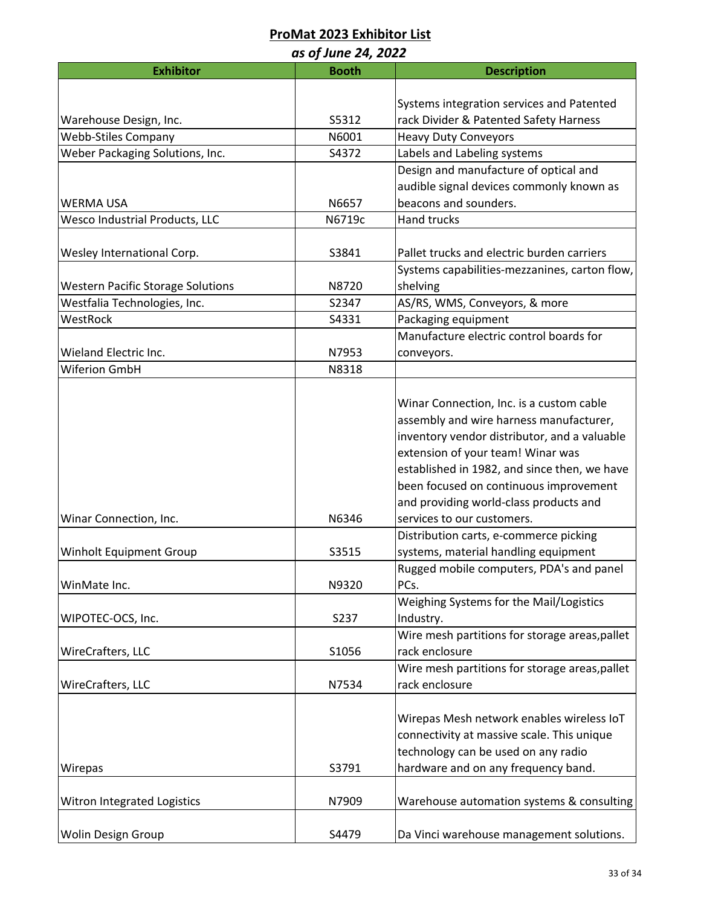| as of June 24, 2022                      |              |                                                |  |
|------------------------------------------|--------------|------------------------------------------------|--|
| <b>Exhibitor</b>                         | <b>Booth</b> | <b>Description</b>                             |  |
|                                          |              |                                                |  |
|                                          |              | Systems integration services and Patented      |  |
| Warehouse Design, Inc.                   | S5312        | rack Divider & Patented Safety Harness         |  |
| <b>Webb-Stiles Company</b>               | N6001        | <b>Heavy Duty Conveyors</b>                    |  |
| Weber Packaging Solutions, Inc.          | S4372        | Labels and Labeling systems                    |  |
|                                          |              | Design and manufacture of optical and          |  |
|                                          |              | audible signal devices commonly known as       |  |
| <b>WERMA USA</b>                         | N6657        | beacons and sounders.                          |  |
| Wesco Industrial Products, LLC           | N6719c       | Hand trucks                                    |  |
| Wesley International Corp.               | S3841        | Pallet trucks and electric burden carriers     |  |
|                                          |              | Systems capabilities-mezzanines, carton flow,  |  |
| <b>Western Pacific Storage Solutions</b> | N8720        | shelving                                       |  |
| Westfalia Technologies, Inc.             | S2347        | AS/RS, WMS, Conveyors, & more                  |  |
| WestRock                                 | S4331        | Packaging equipment                            |  |
|                                          |              | Manufacture electric control boards for        |  |
| Wieland Electric Inc.                    | N7953        | conveyors.                                     |  |
| <b>Wiferion GmbH</b>                     | N8318        |                                                |  |
|                                          |              |                                                |  |
|                                          |              | Winar Connection, Inc. is a custom cable       |  |
|                                          |              | assembly and wire harness manufacturer,        |  |
|                                          |              | inventory vendor distributor, and a valuable   |  |
|                                          |              | extension of your team! Winar was              |  |
|                                          |              | established in 1982, and since then, we have   |  |
|                                          |              | been focused on continuous improvement         |  |
|                                          |              | and providing world-class products and         |  |
| Winar Connection, Inc.                   | N6346        | services to our customers.                     |  |
|                                          |              | Distribution carts, e-commerce picking         |  |
| <b>Winholt Equipment Group</b>           | S3515        | systems, material handling equipment           |  |
|                                          |              | Rugged mobile computers, PDA's and panel       |  |
| WinMate Inc.                             | N9320        | PCs.                                           |  |
|                                          |              | Weighing Systems for the Mail/Logistics        |  |
| WIPOTEC-OCS, Inc.                        | S237         | Industry.                                      |  |
|                                          |              | Wire mesh partitions for storage areas, pallet |  |
| WireCrafters, LLC                        | S1056        | rack enclosure                                 |  |
|                                          |              | Wire mesh partitions for storage areas, pallet |  |
| WireCrafters, LLC                        | N7534        | rack enclosure                                 |  |
|                                          |              |                                                |  |
|                                          |              | Wirepas Mesh network enables wireless IoT      |  |
|                                          |              | connectivity at massive scale. This unique     |  |
|                                          |              | technology can be used on any radio            |  |
| Wirepas                                  | S3791        | hardware and on any frequency band.            |  |
| <b>Witron Integrated Logistics</b>       | N7909        | Warehouse automation systems & consulting      |  |
|                                          |              |                                                |  |
| Wolin Design Group                       | S4479        | Da Vinci warehouse management solutions.       |  |